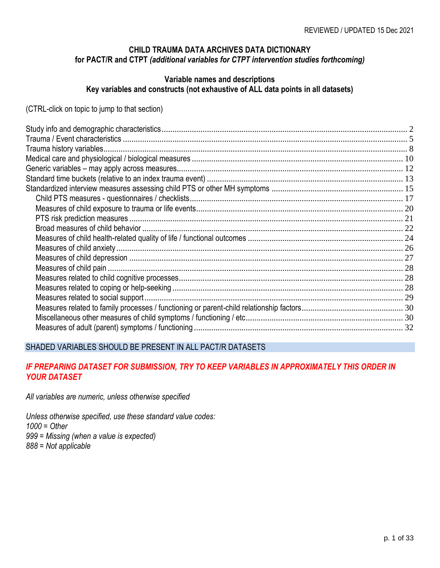#### **CHILD TRAUMA DATA ARCHIVES DATA DICTIONARY for PACT/R and CTPT** *(additional variables for CTPT intervention studies forthcoming)*

#### **Variable names and descriptions Key variables and constructs (not exhaustive of ALL data points in all datasets)**

(CTRL-click on topic to jump to that section)

#### SHADED VARIABLES SHOULD BE PRESENT IN ALL PACT/R DATASETS

#### *IF PREPARING DATASET FOR SUBMISSION, TRY TO KEEP VARIABLES IN APPROXIMATELY THIS ORDER IN YOUR DATASET*

*All variables are numeric, unless otherwise specified*

*Unless otherwise specified, use these standard value codes: 1000 = Other 999 = Missing (when a value is expected) 888 = Not applicable*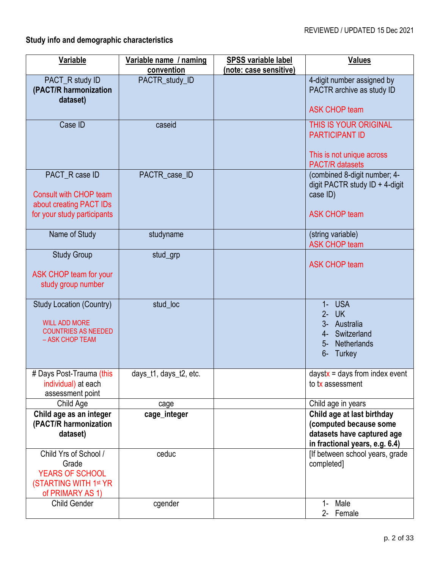# <span id="page-1-0"></span>**Study info and demographic characteristics**

| Variable                                                                                                 | Variable name / naming | <b>SPSS variable label</b> | <b>Values</b>                                                                                                                  |
|----------------------------------------------------------------------------------------------------------|------------------------|----------------------------|--------------------------------------------------------------------------------------------------------------------------------|
|                                                                                                          | convention             | (note: case sensitive)     |                                                                                                                                |
| PACT_R study ID<br>(PACT/R harmonization<br>dataset)                                                     | PACTR_study_ID         |                            | 4-digit number assigned by<br>PACTR archive as study ID                                                                        |
|                                                                                                          |                        |                            | <b>ASK CHOP team</b>                                                                                                           |
| Case ID                                                                                                  | caseid                 |                            | THIS IS YOUR ORIGINAL<br><b>PARTICIPANT ID</b><br>This is not unique across<br><b>PACT/R</b> datasets                          |
| PACT_R case ID<br>Consult with CHOP team<br>about creating PACT IDs<br>for your study participants       | PACTR_case_ID          |                            | (combined 8-digit number; 4-<br>digit PACTR study $ID + 4$ -digit<br>case ID)<br><b>ASK CHOP team</b>                          |
| Name of Study                                                                                            | studyname              |                            | (string variable)<br><b>ASK CHOP team</b>                                                                                      |
| <b>Study Group</b><br>ASK CHOP team for your<br>study group number                                       | stud_grp               |                            | <b>ASK CHOP team</b>                                                                                                           |
| <b>Study Location (Country)</b><br><b>WILL ADD MORE</b><br><b>COUNTRIES AS NEEDED</b><br>- ASK CHOP TEAM | stud_loc               |                            | <b>USA</b><br>$1 -$<br>$2 -$<br><b>UK</b><br>3- Australia<br>Switzerland<br>4-<br><b>Netherlands</b><br>$5-$<br>$6-$<br>Turkey |
| # Days Post-Trauma (this<br>individual) at each<br>assessment point                                      | days_t1, days_t2, etc. |                            | daystx = days from index event<br>to tx assessment                                                                             |
| Child Age                                                                                                | cage                   |                            | Child age in years                                                                                                             |
| Child age as an integer<br>(PACT/R harmonization<br>dataset)                                             | cage_integer           |                            | Child age at last birthday<br>(computed because some<br>datasets have captured age<br>in fractional years, e.g. 6.4)           |
| Child Yrs of School /<br>Grade<br><b>YEARS OF SCHOOL</b><br>(STARTING WITH 1st YR<br>of PRIMARY AS 1)    | ceduc                  |                            | [If between school years, grade<br>completed]                                                                                  |
| <b>Child Gender</b>                                                                                      | cgender                |                            | 1- Male<br>2- Female                                                                                                           |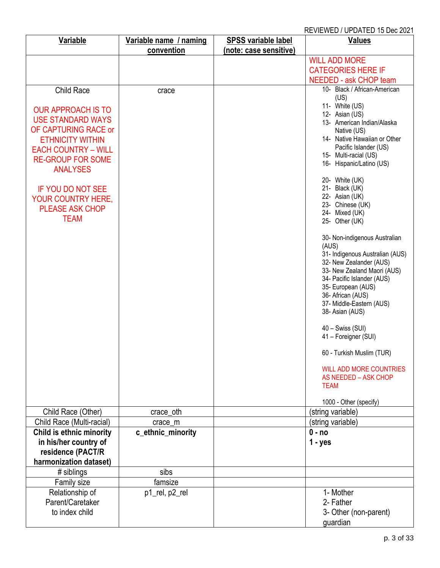| <b>Variable</b>                                   | Variable name / naming       | <b>SPSS variable label</b> | <b>Values</b>                                             |
|---------------------------------------------------|------------------------------|----------------------------|-----------------------------------------------------------|
|                                                   | convention                   | (note: case sensitive)     |                                                           |
|                                                   |                              |                            | <b>WILL ADD MORE</b>                                      |
|                                                   |                              |                            | <b>CATEGORIES HERE IF</b>                                 |
|                                                   |                              |                            | NEEDED - ask CHOP team                                    |
| Child Race                                        | crace                        |                            | 10- Black / African-American                              |
|                                                   |                              |                            | (US)                                                      |
| <b>OUR APPROACH IS TO</b>                         |                              |                            | 11- White (US)<br>12- Asian (US)                          |
| <b>USE STANDARD WAYS</b>                          |                              |                            | 13- American Indian/Alaska                                |
| OF CAPTURING RACE or                              |                              |                            | Native (US)                                               |
| <b>ETHNICITY WITHIN</b>                           |                              |                            | 14- Native Hawaiian or Other                              |
| <b>EACH COUNTRY - WILL</b>                        |                              |                            | Pacific Islander (US)<br>15- Multi-racial (US)            |
| <b>RE-GROUP FOR SOME</b>                          |                              |                            | 16- Hispanic/Latino (US)                                  |
| <b>ANALYSES</b>                                   |                              |                            |                                                           |
|                                                   |                              |                            | 20- White (UK)                                            |
| <b>IF YOU DO NOT SEE</b>                          |                              |                            | 21- Black (UK)<br>22- Asian (UK)                          |
| <b>YOUR COUNTRY HERE,</b>                         |                              |                            | 23- Chinese (UK)                                          |
| <b>PLEASE ASK CHOP</b>                            |                              |                            | 24- Mixed (UK)                                            |
| <b>TEAM</b>                                       |                              |                            | 25- Other (UK)                                            |
|                                                   |                              |                            | 30- Non-indigenous Australian                             |
|                                                   |                              |                            | (AUS)                                                     |
|                                                   |                              |                            | 31- Indigenous Australian (AUS)                           |
|                                                   |                              |                            | 32- New Zealander (AUS)                                   |
|                                                   |                              |                            | 33- New Zealand Maori (AUS)<br>34- Pacific Islander (AUS) |
|                                                   |                              |                            | 35- European (AUS)                                        |
|                                                   |                              |                            | 36- African (AUS)                                         |
|                                                   |                              |                            | 37- Middle-Eastern (AUS)                                  |
|                                                   |                              |                            | 38- Asian (AUS)                                           |
|                                                   |                              |                            | $40 - Swiss (SUI)$                                        |
|                                                   |                              |                            | 41 - Foreigner (SUI)                                      |
|                                                   |                              |                            | 60 - Turkish Muslim (TUR)                                 |
|                                                   |                              |                            | <b>WILL ADD MORE COUNTRIES</b>                            |
|                                                   |                              |                            | AS NEEDED - ASK CHOP                                      |
|                                                   |                              |                            | <b>TEAM</b>                                               |
|                                                   |                              |                            | 1000 - Other (specify)                                    |
| Child Race (Other)<br>Child Race (Multi-racial)   | crace_oth                    |                            | (string variable)<br>(string variable)                    |
|                                                   | crace_m<br>c_ethnic_minority |                            | $0 - no$                                                  |
| Child is ethnic minority<br>in his/her country of |                              |                            | $1 - yes$                                                 |
| residence (PACT/R                                 |                              |                            |                                                           |
| harmonization dataset)                            |                              |                            |                                                           |
| # siblings                                        | sibs                         |                            |                                                           |
| Family size                                       | famsize                      |                            |                                                           |
| Relationship of                                   | p1_rel, p2_rel               |                            | 1- Mother                                                 |
| Parent/Caretaker                                  |                              |                            | 2- Father                                                 |
| to index child                                    |                              |                            | 3- Other (non-parent)                                     |
|                                                   |                              |                            | guardian                                                  |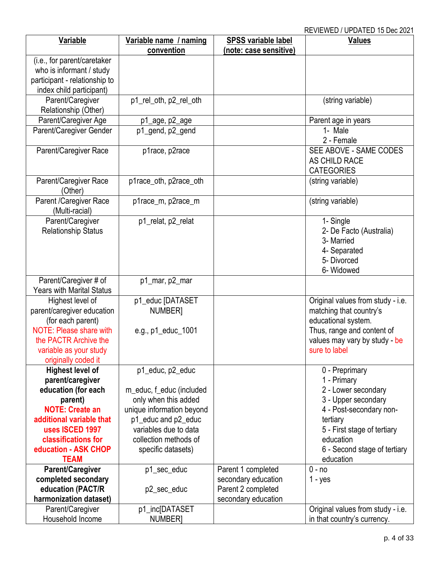| Variable                         | Variable name / naming    | <b>SPSS variable label</b> | <b>Values</b>                     |
|----------------------------------|---------------------------|----------------------------|-----------------------------------|
|                                  | convention                | (note: case sensitive)     |                                   |
| (i.e., for parent/caretaker      |                           |                            |                                   |
| who is informant / study         |                           |                            |                                   |
| participant - relationship to    |                           |                            |                                   |
| index child participant)         |                           |                            |                                   |
| Parent/Caregiver                 | p1_rel_oth, p2_rel_oth    |                            | (string variable)                 |
| Relationship (Other)             |                           |                            |                                   |
| Parent/Caregiver Age             | p1_age, p2_age            |                            | Parent age in years               |
| Parent/Caregiver Gender          | p1_gend, p2_gend          |                            | 1- Male                           |
|                                  |                           |                            | 2 - Female                        |
| Parent/Caregiver Race            | p1race, p2race            |                            | SEE ABOVE - SAME CODES            |
|                                  |                           |                            | AS CHILD RACE                     |
|                                  |                           |                            | <b>CATEGORIES</b>                 |
| Parent/Caregiver Race            | p1race_oth, p2race_oth    |                            | (string variable)                 |
| (Other)                          |                           |                            |                                   |
| Parent /Caregiver Race           | p1race_m, p2race_m        |                            | (string variable)                 |
| (Multi-racial)                   |                           |                            |                                   |
| Parent/Caregiver                 | p1_relat, p2_relat        |                            | 1- Single                         |
| <b>Relationship Status</b>       |                           |                            | 2- De Facto (Australia)           |
|                                  |                           |                            | 3- Married                        |
|                                  |                           |                            | 4- Separated                      |
|                                  |                           |                            | 5- Divorced                       |
|                                  |                           |                            | 6- Widowed                        |
| Parent/Caregiver # of            | p1_mar, p2_mar            |                            |                                   |
| <b>Years with Marital Status</b> |                           |                            |                                   |
| Highest level of                 | p1_educ [DATASET          |                            | Original values from study - i.e. |
| parent/caregiver education       | NUMBER]                   |                            | matching that country's           |
| (for each parent)                |                           |                            | educational system.               |
| <b>NOTE: Please share with</b>   | e.g., p1_educ_1001        |                            | Thus, range and content of        |
| the PACTR Archive the            |                           |                            | values may vary by study - be     |
| variable as your study           |                           |                            | sure to label                     |
| originally coded it              |                           |                            |                                   |
| <b>Highest level of</b>          | p1_educ, p2_educ          |                            | 0 - Preprimary                    |
| parent/caregiver                 |                           |                            | 1 - Primary                       |
| education (for each              | m_educ, f_educ (included  |                            | 2 - Lower secondary               |
| parent)                          | only when this added      |                            | 3 - Upper secondary               |
| <b>NOTE: Create an</b>           | unique information beyond |                            | 4 - Post-secondary non-           |
| additional variable that         | p1_educ and p2_educ       |                            | tertiary                          |
| uses ISCED 1997                  | variables due to data     |                            | 5 - First stage of tertiary       |
| classifications for              | collection methods of     |                            | education                         |
| education - ASK CHOP             | specific datasets)        |                            | 6 - Second stage of tertiary      |
| <b>TEAM</b>                      |                           |                            | education                         |
| Parent/Caregiver                 | p1_sec_educ               | Parent 1 completed         | $0 - no$                          |
| completed secondary              |                           | secondary education        | $1 - yes$                         |
| education (PACT/R                | p2_sec_educ               | Parent 2 completed         |                                   |
| harmonization dataset)           |                           | secondary education        |                                   |
| Parent/Caregiver                 | p1_inc[DATASET            |                            | Original values from study - i.e. |
| Household Income                 | <b>NUMBER]</b>            |                            | in that country's currency.       |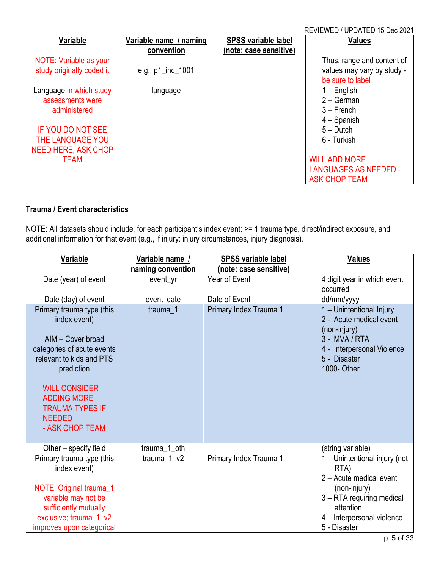| Variable                                                                                                                                         | Variable name / naming | <b>SPSS variable label</b> | <b>Values</b>                                                                                |
|--------------------------------------------------------------------------------------------------------------------------------------------------|------------------------|----------------------------|----------------------------------------------------------------------------------------------|
|                                                                                                                                                  | convention             | (note: case sensitive)     |                                                                                              |
| NOTE: Variable as your<br>study originally coded it                                                                                              | e.g., $p1$ _inc_1001   |                            | Thus, range and content of<br>values may vary by study -<br>be sure to label                 |
| Language in which study<br>assessments were<br>administered<br><b>IF YOU DO NOT SEE</b><br><b>THE LANGUAGE YOU</b><br><b>NEED HERE, ASK CHOP</b> | language               |                            | $1 -$ English<br>$2 - German$<br>$3 -$ French<br>$4 -$ Spanish<br>$5 - Dutch$<br>6 - Turkish |
| TEAM                                                                                                                                             |                        |                            | <b>WILL ADD MORE</b><br><b>LANGUAGES AS NEEDED -</b><br><b>ASK CHOP TEAM</b>                 |

#### <span id="page-4-0"></span>**Trauma / Event characteristics**

NOTE: All datasets should include, for each participant's index event: >= 1 trauma type, direct/indirect exposure, and additional information for that event (e.g., if injury: injury circumstances, injury diagnosis).

| Variable                                                                                                                                                                                                                                           | Variable name /   | <b>SPSS variable label</b> | <b>Values</b>                                                                                                                                                            |
|----------------------------------------------------------------------------------------------------------------------------------------------------------------------------------------------------------------------------------------------------|-------------------|----------------------------|--------------------------------------------------------------------------------------------------------------------------------------------------------------------------|
|                                                                                                                                                                                                                                                    | naming convention | (note: case sensitive)     |                                                                                                                                                                          |
| Date (year) of event                                                                                                                                                                                                                               | event_yr          | Year of Event              | 4 digit year in which event<br>occurred                                                                                                                                  |
| Date (day) of event                                                                                                                                                                                                                                | event_date        | Date of Event              | dd/mm/yyyy                                                                                                                                                               |
| Primary trauma type (this<br>index event)<br>AIM - Cover broad<br>categories of acute events<br>relevant to kids and PTS<br>prediction<br><b>WILL CONSIDER</b><br><b>ADDING MORE</b><br><b>TRAUMA TYPES IF</b><br><b>NEEDED</b><br>- ASK CHOP TEAM | trauma 1          | Primary Index Trauma 1     | 1 - Unintentional Injury<br>2 - Acute medical event<br>(non-injury)<br>3 - MVA / RTA<br>4 - Interpersonal Violence<br>5 - Disaster<br>1000- Other                        |
| Other – specify field                                                                                                                                                                                                                              | trauma_1_oth      |                            | (string variable)                                                                                                                                                        |
| Primary trauma type (this<br>index event)<br>NOTE: Original trauma_1<br>variable may not be<br>sufficiently mutually<br>exclusive; trauma_1_v2<br>improves upon categorical                                                                        | trauma $1_v2$     | Primary Index Trauma 1     | 1 - Unintentional injury (not<br>RTA)<br>2 - Acute medical event<br>(non-injury)<br>3 - RTA requiring medical<br>attention<br>4 - Interpersonal violence<br>5 - Disaster |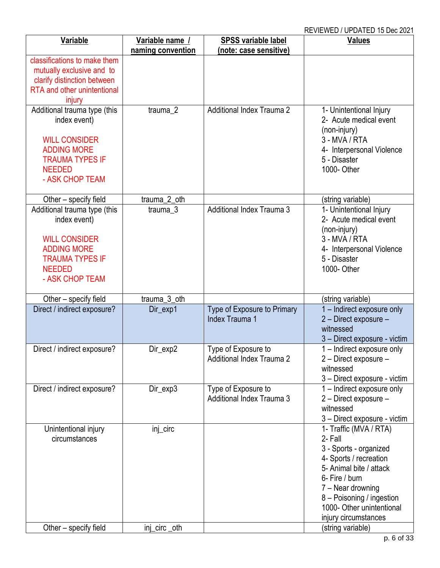| Variable                                   | Variable name /      | <b>SPSS variable label</b>       | <b>Values</b>                                          |
|--------------------------------------------|----------------------|----------------------------------|--------------------------------------------------------|
|                                            | naming convention    | (note: case sensitive)           |                                                        |
| classifications to make them               |                      |                                  |                                                        |
| mutually exclusive and to                  |                      |                                  |                                                        |
| clarify distinction between                |                      |                                  |                                                        |
| RTA and other unintentional                |                      |                                  |                                                        |
| injury                                     |                      |                                  |                                                        |
| Additional trauma type (this               | trauma_2             | Additional Index Trauma 2        | 1- Unintentional Injury                                |
| index event)                               |                      |                                  | 2- Acute medical event                                 |
|                                            |                      |                                  | (non-injury)<br>3 - MVA / RTA                          |
| <b>WILL CONSIDER</b><br><b>ADDING MORE</b> |                      |                                  |                                                        |
| <b>TRAUMA TYPES IF</b>                     |                      |                                  | 4- Interpersonal Violence<br>5 - Disaster              |
| <b>NEEDED</b>                              |                      |                                  | 1000- Other                                            |
| - ASK CHOP TEAM                            |                      |                                  |                                                        |
|                                            |                      |                                  |                                                        |
| Other - specify field                      | trauma_2_oth         |                                  |                                                        |
| Additional trauma type (this               | trauma <sub>_3</sub> | <b>Additional Index Trauma 3</b> | (string variable)<br>1- Unintentional Injury           |
| index event)                               |                      |                                  | 2- Acute medical event                                 |
|                                            |                      |                                  | (non-injury)                                           |
| <b>WILL CONSIDER</b>                       |                      |                                  | 3 - MVA / RTA                                          |
| <b>ADDING MORE</b>                         |                      |                                  | 4- Interpersonal Violence                              |
| <b>TRAUMA TYPES IF</b>                     |                      |                                  | 5 - Disaster                                           |
| <b>NEEDED</b>                              |                      |                                  | 1000- Other                                            |
| - ASK CHOP TEAM                            |                      |                                  |                                                        |
|                                            |                      |                                  |                                                        |
| Other - specify field                      | trauma_3_oth         |                                  | (string variable)                                      |
| Direct / indirect exposure?                | Dir_exp1             | Type of Exposure to Primary      | 1 - Indirect exposure only                             |
|                                            |                      | <b>Index Trauma 1</b>            | 2 - Direct exposure -                                  |
|                                            |                      |                                  | witnessed                                              |
|                                            |                      |                                  | 3 - Direct exposure - victim                           |
| Direct / indirect exposure?                | Dir_exp2             | Type of Exposure to              | 1 – Indirect exposure only                             |
|                                            |                      | <b>Additional Index Trauma 2</b> | 2 - Direct exposure -                                  |
|                                            |                      |                                  | witnessed                                              |
|                                            |                      |                                  | 3 - Direct exposure - victim                           |
| Direct / indirect exposure?                | Dir_exp3             | Type of Exposure to              | 1 - Indirect exposure only                             |
|                                            |                      | Additional Index Trauma 3        | 2 - Direct exposure -                                  |
|                                            |                      |                                  | witnessed                                              |
|                                            |                      |                                  | 3 - Direct exposure - victim                           |
| Unintentional injury                       | inj_circ             |                                  | 1- Traffic (MVA / RTA)                                 |
| circumstances                              |                      |                                  | 2- Fall                                                |
|                                            |                      |                                  | 3 - Sports - organized                                 |
|                                            |                      |                                  | 4- Sports / recreation                                 |
|                                            |                      |                                  | 5- Animal bite / attack                                |
|                                            |                      |                                  | 6- Fire / burn                                         |
|                                            |                      |                                  | 7 – Near drowning                                      |
|                                            |                      |                                  | 8 - Poisoning / ingestion<br>1000- Other unintentional |
|                                            |                      |                                  |                                                        |
| Other - specify field                      |                      |                                  | injury circumstances<br>(string variable)              |
|                                            | inj_circ _oth        |                                  |                                                        |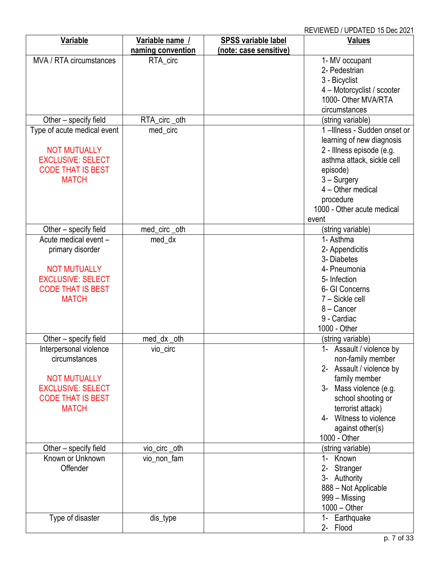| Variable                    | Variable name /   | <b>SPSS variable label</b> | <b>Values</b>               |
|-----------------------------|-------------------|----------------------------|-----------------------------|
|                             | naming convention | (note: case sensitive)     |                             |
| MVA / RTA circumstances     | RTA_circ          |                            | 1- MV occupant              |
|                             |                   |                            | 2- Pedestrian               |
|                             |                   |                            | 3 - Bicyclist               |
|                             |                   |                            | 4 - Motorcyclist / scooter  |
|                             |                   |                            | 1000- Other MVA/RTA         |
|                             |                   |                            | circumstances               |
|                             |                   |                            |                             |
| Other - specify field       | RTA_circ_oth      |                            | (string variable)           |
| Type of acute medical event | med_circ          |                            | 1-Illness - Sudden onset or |
|                             |                   |                            | learning of new diagnosis   |
| <b>NOT MUTUALLY</b>         |                   |                            | 2 - Illness episode (e.g.   |
| <b>EXCLUSIVE: SELECT</b>    |                   |                            | asthma attack, sickle cell  |
| <b>CODE THAT IS BEST</b>    |                   |                            | episode)                    |
| <b>MATCH</b>                |                   |                            | $3 -$ Surgery               |
|                             |                   |                            | 4 - Other medical           |
|                             |                   |                            | procedure                   |
|                             |                   |                            | 1000 - Other acute medical  |
|                             |                   |                            | event                       |
| Other - specify field       | med_circ_oth      |                            | (string variable)           |
| Acute medical event -       | med_dx            |                            | 1- Asthma                   |
| primary disorder            |                   |                            | 2- Appendicitis             |
|                             |                   |                            | 3- Diabetes                 |
| <b>NOT MUTUALLY</b>         |                   |                            | 4- Pneumonia                |
| <b>EXCLUSIVE: SELECT</b>    |                   |                            | 5- Infection                |
| <b>CODE THAT IS BEST</b>    |                   |                            | 6- GI Concerns              |
| <b>MATCH</b>                |                   |                            | 7 - Sickle cell             |
|                             |                   |                            | 8 - Cancer                  |
|                             |                   |                            | 9 - Cardiac                 |
|                             |                   |                            | 1000 - Other                |
| Other – specify field       | med_dx _oth       |                            | (string variable)           |
| Interpersonal violence      | vio_circ          |                            | 1- Assault / violence by    |
| circumstances               |                   |                            | non-family member           |
|                             |                   |                            | 2- Assault / violence by    |
| <b>NOT MUTUALLY</b>         |                   |                            | family member               |
| <b>EXCLUSIVE: SELECT</b>    |                   |                            | 3- Mass violence (e.g.      |
| <b>CODE THAT IS BEST</b>    |                   |                            | school shooting or          |
| <b>MATCH</b>                |                   |                            | terrorist attack)           |
|                             |                   |                            | 4- Witness to violence      |
|                             |                   |                            | against other(s)            |
|                             |                   |                            | 1000 - Other                |
| Other - specify field       | vio_circ_oth      |                            | (string variable)           |
| Known or Unknown            | vio_non_fam       |                            | 1- Known                    |
| Offender                    |                   |                            | $2 -$<br>Stranger           |
|                             |                   |                            | 3- Authority                |
|                             |                   |                            | 888 - Not Applicable        |
|                             |                   |                            | 999 – Missing               |
|                             |                   |                            | $1000 - Other$              |
| Type of disaster            | dis_type          |                            | 1- Earthquake               |
|                             |                   |                            | 2- Flood                    |
|                             |                   |                            |                             |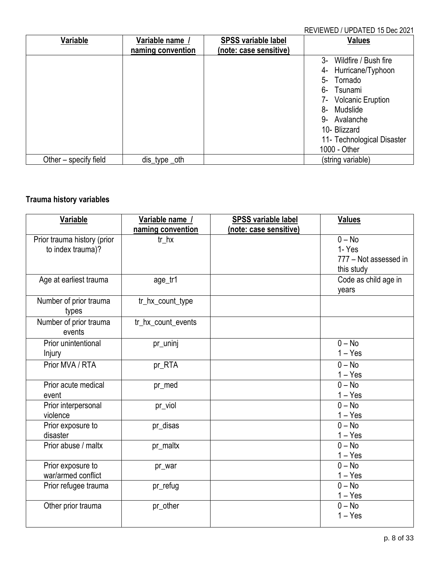| Variable              | Variable name /   | <b>SPSS variable label</b> | <b>Values</b>              |
|-----------------------|-------------------|----------------------------|----------------------------|
|                       | naming convention | (note: case sensitive)     |                            |
|                       |                   |                            | 3- Wildfire / Bush fire    |
|                       |                   |                            | 4- Hurricane/Typhoon       |
|                       |                   |                            | 5- Tornado                 |
|                       |                   |                            | 6- Tsunami                 |
|                       |                   |                            | 7- Volcanic Eruption       |
|                       |                   |                            | 8- Mudslide                |
|                       |                   |                            | 9- Avalanche               |
|                       |                   |                            | 10- Blizzard               |
|                       |                   |                            | 11- Technological Disaster |
|                       |                   |                            | 1000 - Other               |
| Other – specify field | dis_type _oth     |                            | (string variable)          |

# <span id="page-7-0"></span>**Trauma history variables**

| Variable                                         | Variable name /    | <b>SPSS variable label</b> | <b>Values</b>                                            |
|--------------------------------------------------|--------------------|----------------------------|----------------------------------------------------------|
|                                                  | naming convention  | (note: case sensitive)     |                                                          |
| Prior trauma history (prior<br>to index trauma)? | $tr_hx$            |                            | $0 - No$<br>1-Yes<br>777 - Not assessed in<br>this study |
| Age at earliest trauma                           | age_tr1            |                            | Code as child age in<br>years                            |
| Number of prior trauma<br>types                  | tr_hx_count_type   |                            |                                                          |
| Number of prior trauma<br>events                 | tr_hx_count_events |                            |                                                          |
| Prior unintentional<br>Injury                    | pr_uninj           |                            | $0 - No$<br>$1 - Yes$                                    |
| Prior MVA / RTA                                  | pr_RTA             |                            | $0 - No$<br>$1 - Yes$                                    |
| Prior acute medical<br>event                     | pr_med             |                            | $0 - No$<br>$1 - Yes$                                    |
| Prior interpersonal<br>violence                  | pr_viol            |                            | $0 - No$<br>$1 - Yes$                                    |
| Prior exposure to<br>disaster                    | pr disas           |                            | $0 - No$<br>$1 - Yes$                                    |
| Prior abuse / maltx                              | pr_maltx           |                            | $0 - No$<br>$1 - Yes$                                    |
| Prior exposure to<br>war/armed conflict          | pr_war             |                            | $0 - No$<br>$1 - Yes$                                    |
| Prior refugee trauma                             | pr_refug           |                            | $0 - No$<br>$1 - Yes$                                    |
| Other prior trauma                               | pr_other           |                            | $0 - No$<br>$1 - Yes$                                    |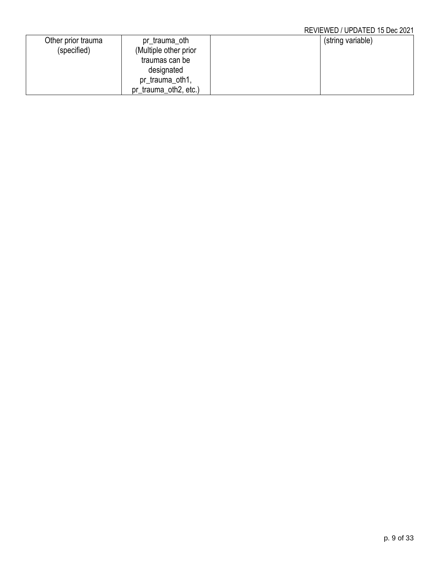| Other prior trauma | pr_trauma_oth         | (string variable) |  |
|--------------------|-----------------------|-------------------|--|
| (specified)        | (Multiple other prior |                   |  |
|                    | traumas can be        |                   |  |
|                    | designated            |                   |  |
|                    | pr_trauma_oth1,       |                   |  |
|                    | pr_trauma_oth2, etc.) |                   |  |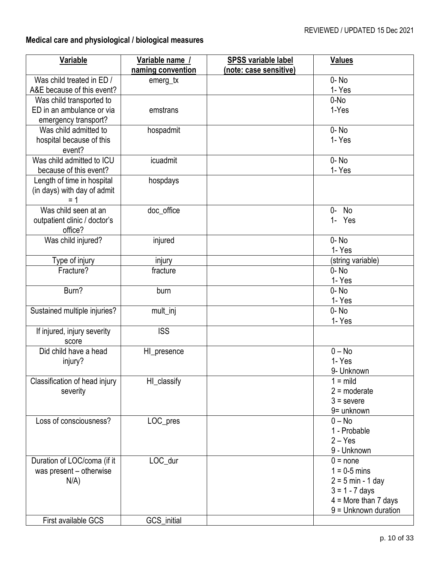# <span id="page-9-0"></span>**Medical care and physiological / biological measures**

| Variable                            | Variable name /<br>naming convention | <b>SPSS variable label</b><br><u>(note: case sensitive)</u> | <b>Values</b>                           |
|-------------------------------------|--------------------------------------|-------------------------------------------------------------|-----------------------------------------|
| Was child treated in ED /           | emerg_tx                             |                                                             | $0 - No$                                |
| A&E because of this event?          |                                      |                                                             | 1- Yes                                  |
| Was child transported to            |                                      |                                                             | 0-No                                    |
| ED in an ambulance or via           | emstrans                             |                                                             | 1-Yes                                   |
| emergency transport?                |                                      |                                                             |                                         |
| Was child admitted to               | hospadmit                            |                                                             | $0 - No$                                |
| hospital because of this            |                                      |                                                             | 1- Yes                                  |
| event?<br>Was child admitted to ICU | icuadmit                             |                                                             |                                         |
| because of this event?              |                                      |                                                             | $0 - No$<br>1- Yes                      |
| Length of time in hospital          | hospdays                             |                                                             |                                         |
| (in days) with day of admit         |                                      |                                                             |                                         |
| $= 1$                               |                                      |                                                             |                                         |
| Was child seen at an                | doc_office                           |                                                             | No<br>0-                                |
| outpatient clinic / doctor's        |                                      |                                                             | 1- Yes                                  |
| office?                             |                                      |                                                             |                                         |
| Was child injured?                  | injured                              |                                                             | $0 - No$                                |
|                                     |                                      |                                                             | 1- Yes                                  |
| Type of injury                      | injury                               |                                                             | (string variable)                       |
| Fracture?                           | fracture                             |                                                             | $0 - No$                                |
| Burn?                               | burn                                 |                                                             | 1- Yes<br>$0 - No$                      |
|                                     |                                      |                                                             | 1-Yes                                   |
| Sustained multiple injuries?        | mult_inj                             |                                                             | $0 - No$                                |
|                                     |                                      |                                                             | 1- Yes                                  |
| If injured, injury severity         | <b>ISS</b>                           |                                                             |                                         |
| score                               |                                      |                                                             |                                         |
| Did child have a head               | HI_presence                          |                                                             | $0 - No$                                |
| injury?                             |                                      |                                                             | 1-Yes                                   |
|                                     |                                      |                                                             | 9- Unknown                              |
| Classification of head injury       | HI_classify                          |                                                             | $1 =$ mild<br>$2 =$ moderate            |
| severity                            |                                      |                                                             | $3 =$ severe                            |
|                                     |                                      |                                                             | 9= unknown                              |
| Loss of consciousness?              | LOC_pres                             |                                                             | $0 - No$                                |
|                                     |                                      |                                                             | 1 - Probable                            |
|                                     |                                      |                                                             | $2 - Yes$                               |
|                                     |                                      |                                                             | 9 - Unknown                             |
| Duration of LOC/coma (if it         | LOC_dur                              |                                                             | $0 = none$                              |
| was present - otherwise             |                                      |                                                             | $1 = 0.5$ mins                          |
| $N/A$ )                             |                                      |                                                             | $2 = 5$ min - 1 day<br>$3 = 1 - 7$ days |
|                                     |                                      |                                                             | $4 =$ More than 7 days                  |
|                                     |                                      |                                                             | $9 =$ Unknown duration                  |
| First available GCS                 | GCS_initial                          |                                                             |                                         |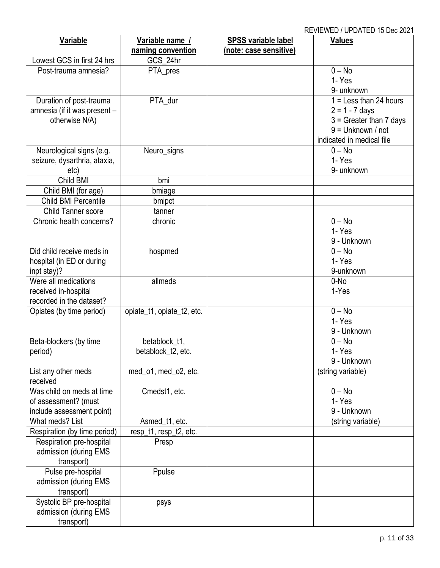| Variable                     | Variable name /<br>naming convention | <b>SPSS variable label</b><br>(note: case sensitive) | <b>Values</b>               |
|------------------------------|--------------------------------------|------------------------------------------------------|-----------------------------|
| Lowest GCS in first 24 hrs   | GCS_24hr                             |                                                      |                             |
| Post-trauma amnesia?         | PTA_pres                             |                                                      | $0 - No$                    |
|                              |                                      |                                                      | 1- Yes                      |
|                              |                                      |                                                      | 9- unknown                  |
| Duration of post-trauma      | PTA_dur                              |                                                      | $1 =$ Less than 24 hours    |
| amnesia (if it was present - |                                      |                                                      | $2 = 1 - 7$ days            |
| otherwise N/A)               |                                      |                                                      | $3 =$ Greater than $7$ days |
|                              |                                      |                                                      | $9 =$ Unknown / not         |
|                              |                                      |                                                      | indicated in medical file   |
| Neurological signs (e.g.     | Neuro_signs                          |                                                      | $0 - No$                    |
| seizure, dysarthria, ataxia, |                                      |                                                      | 1- Yes                      |
| etc)                         |                                      |                                                      | 9- unknown                  |
| Child BMI                    | bmi                                  |                                                      |                             |
| Child BMI (for age)          | bmiage                               |                                                      |                             |
| Child BMI Percentile         | bmipct                               |                                                      |                             |
| Child Tanner score           | tanner                               |                                                      |                             |
| Chronic health concerns?     | chronic                              |                                                      | $0 - No$                    |
|                              |                                      |                                                      | 1- Yes                      |
|                              |                                      |                                                      | 9 - Unknown                 |
| Did child receive meds in    | hospmed                              |                                                      | $0 - No$                    |
| hospital (in ED or during    |                                      |                                                      | 1- Yes                      |
| inpt stay)?                  |                                      |                                                      | 9-unknown                   |
| Were all medications         | allmeds                              |                                                      | $0-N0$                      |
| received in-hospital         |                                      |                                                      | 1-Yes                       |
| recorded in the dataset?     |                                      |                                                      |                             |
| Opiates (by time period)     | opiate_t1, opiate_t2, etc.           |                                                      | $0 - No$                    |
|                              |                                      |                                                      | 1- Yes                      |
|                              |                                      |                                                      | 9 - Unknown                 |
| Beta-blockers (by time       | betablock_t1,                        |                                                      | $0 - No$                    |
| period)                      | betablock_t2, etc.                   |                                                      | 1-Yes                       |
|                              |                                      |                                                      | 9 - Unknown                 |
| List any other meds          | med_o1, med_o2, etc.                 |                                                      | (string variable)           |
| received                     |                                      |                                                      |                             |
| Was child on meds at time    | Cmedst1, etc.                        |                                                      | $0 - No$                    |
| of assessment? (must         |                                      |                                                      | 1-Yes                       |
| include assessment point)    |                                      |                                                      | 9 - Unknown                 |
| What meds? List              | Asmed_t1, etc.                       |                                                      | (string variable)           |
| Respiration (by time period) | resp_t1, resp_t2, etc.               |                                                      |                             |
| Respiration pre-hospital     | Presp                                |                                                      |                             |
| admission (during EMS        |                                      |                                                      |                             |
| transport)                   |                                      |                                                      |                             |
| Pulse pre-hospital           | Ppulse                               |                                                      |                             |
| admission (during EMS        |                                      |                                                      |                             |
| transport)                   |                                      |                                                      |                             |
| Systolic BP pre-hospital     | psys                                 |                                                      |                             |
| admission (during EMS        |                                      |                                                      |                             |
| transport)                   |                                      |                                                      |                             |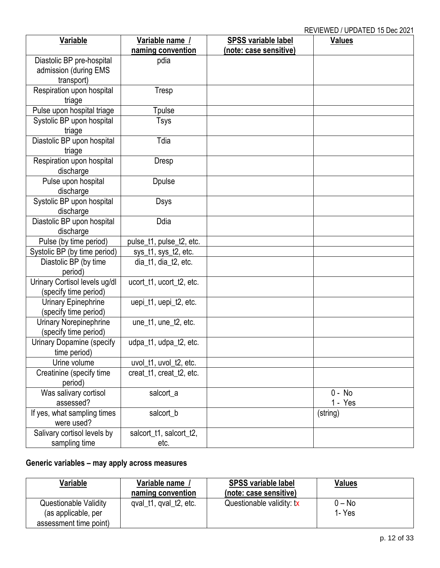| Variable                      | Variable name /          | <b>SPSS variable label</b> | IN LYTERY LD TOT DATED TO DOG LOL<br><b>Values</b> |
|-------------------------------|--------------------------|----------------------------|----------------------------------------------------|
|                               | naming convention        | (note: case sensitive)     |                                                    |
| Diastolic BP pre-hospital     | pdia                     |                            |                                                    |
| admission (during EMS         |                          |                            |                                                    |
|                               |                          |                            |                                                    |
| transport)                    |                          |                            |                                                    |
| Respiration upon hospital     | Tresp                    |                            |                                                    |
| triage                        |                          |                            |                                                    |
| Pulse upon hospital triage    | Tpulse                   |                            |                                                    |
| Systolic BP upon hospital     | Tsys                     |                            |                                                    |
| triage                        |                          |                            |                                                    |
| Diastolic BP upon hospital    | Tdia                     |                            |                                                    |
| triage                        |                          |                            |                                                    |
| Respiration upon hospital     | Dresp                    |                            |                                                    |
| discharge                     |                          |                            |                                                    |
| Pulse upon hospital           | <b>Dpulse</b>            |                            |                                                    |
| discharge                     |                          |                            |                                                    |
| Systolic BP upon hospital     | Dsys                     |                            |                                                    |
| discharge                     |                          |                            |                                                    |
| Diastolic BP upon hospital    | Ddia                     |                            |                                                    |
| discharge                     |                          |                            |                                                    |
| Pulse (by time period)        | pulse_t1, pulse_t2, etc. |                            |                                                    |
| Systolic BP (by time period)  | sys_t1, sys_t2, etc.     |                            |                                                    |
| Diastolic BP (by time         | dia_t1, dia_t2, etc.     |                            |                                                    |
| period)                       |                          |                            |                                                    |
| Urinary Cortisol levels ug/dl | ucort_t1, ucort_t2, etc. |                            |                                                    |
| (specify time period)         |                          |                            |                                                    |
| Urinary Epinephrine           | uepi_t1, uepi_t2, etc.   |                            |                                                    |
| (specify time period)         |                          |                            |                                                    |
| Urinary Norepinephrine        | une_t1, une_t2, etc.     |                            |                                                    |
| (specify time period)         |                          |                            |                                                    |
| Urinary Dopamine (specify     | udpa_t1, udpa_t2, etc.   |                            |                                                    |
| time period)                  |                          |                            |                                                    |
| Urine volume                  | uvol_t1, uvol_t2, etc.   |                            |                                                    |
| Creatinine (specify time      | creat t1, creat t2, etc. |                            |                                                    |
| period)                       |                          |                            |                                                    |
| Was salivary cortisol         | salcort_a                |                            | 0 - No                                             |
| assessed?                     |                          |                            | 1 - Yes                                            |
| If yes, what sampling times   | salcort_b                |                            | (string)                                           |
| were used?                    |                          |                            |                                                    |
| Salivary cortisol levels by   | salcort_t1, salcort_t2,  |                            |                                                    |
| sampling time                 | etc.                     |                            |                                                    |

# <span id="page-11-0"></span>**Generic variables – may apply across measures**

| Variable                                      | Variable name /<br>naming convention | <b>SPSS variable label</b><br>(note: case sensitive) | <b>Values</b>     |
|-----------------------------------------------|--------------------------------------|------------------------------------------------------|-------------------|
| <b>Questionable Validity</b>                  | qval_t1, qval_t2, etc.               | Questionable validity: tx                            | $0 - No$<br>1-Yes |
| (as applicable, per<br>assessment time point) |                                      |                                                      |                   |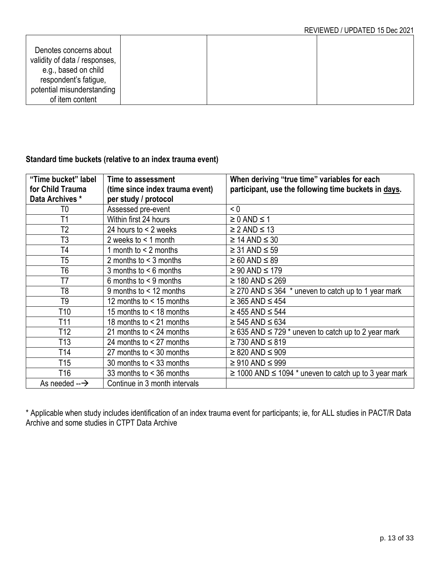| Denotes concerns about<br>validity of data / responses, |  |  |
|---------------------------------------------------------|--|--|
| e.g., based on child<br>respondent's fatigue,           |  |  |
| potential misunderstanding<br>of item content           |  |  |

### <span id="page-12-0"></span>**Standard time buckets (relative to an index trauma event)**

| "Time bucket" label<br>for Child Trauma<br>Data Archives * | Time to assessment<br>(time since index trauma event)<br>per study / protocol | When deriving "true time" variables for each<br>participant, use the following time buckets in days. |
|------------------------------------------------------------|-------------------------------------------------------------------------------|------------------------------------------------------------------------------------------------------|
| T0                                                         | Assessed pre-event                                                            | < 0                                                                                                  |
| T1                                                         | Within first 24 hours                                                         | $\geq 0$ AND $\leq 1$                                                                                |
| T <sub>2</sub>                                             | 24 hours to $\leq$ 2 weeks                                                    | $\geq$ 2 AND $\leq$ 13                                                                               |
| T <sub>3</sub>                                             | 2 weeks to $\leq 1$ month                                                     | $\geq$ 14 AND $\leq$ 30                                                                              |
| T4                                                         | 1 month to $<$ 2 months                                                       | $\geq$ 31 AND $\leq$ 59                                                                              |
| T <sub>5</sub>                                             | 2 months to $<$ 3 months                                                      | $\geq 60$ AND $\leq 89$                                                                              |
| T <sub>6</sub>                                             | 3 months to $< 6$ months                                                      | $\geq 90$ AND $\leq 179$                                                                             |
| T7                                                         | 6 months to $\leq$ 9 months                                                   | $\geq$ 180 AND $\leq$ 269                                                                            |
| T <sub>8</sub>                                             | 9 months to $<$ 12 months                                                     | $\geq$ 270 AND $\leq$ 364 $\cdot$ uneven to catch up to 1 year mark                                  |
| T <sub>9</sub>                                             | 12 months to < 15 months                                                      | $\geq$ 365 AND $\leq$ 454                                                                            |
| T <sub>10</sub>                                            | 15 months to $<$ 18 months                                                    | $\geq$ 455 AND $\leq$ 544                                                                            |
| T <sub>11</sub>                                            | 18 months to < 21 months                                                      | $\geq 545$ AND $\leq 634$                                                                            |
| T <sub>12</sub>                                            | 21 months to $<$ 24 months                                                    | $\geq$ 635 AND $\leq$ 729 $*$ uneven to catch up to 2 year mark                                      |
| T <sub>13</sub>                                            | 24 months to $<$ 27 months                                                    | $\geq$ 730 AND $\leq$ 819                                                                            |
| T <sub>14</sub>                                            | 27 months to $<$ 30 months                                                    | $\geq$ 820 AND $\leq$ 909                                                                            |
| T <sub>15</sub>                                            | 30 months to $<$ 33 months                                                    | $\geq 910$ AND $\leq 999$                                                                            |
| T <sub>16</sub>                                            | 33 months to < 36 months                                                      | $\geq$ 1000 AND $\leq$ 1094 $*$ uneven to catch up to 3 year mark                                    |
| As needed $-\rightarrow$                                   | Continue in 3 month intervals                                                 |                                                                                                      |

\* Applicable when study includes identification of an index trauma event for participants; ie, for ALL studies in PACT/R Data Archive and some studies in CTPT Data Archive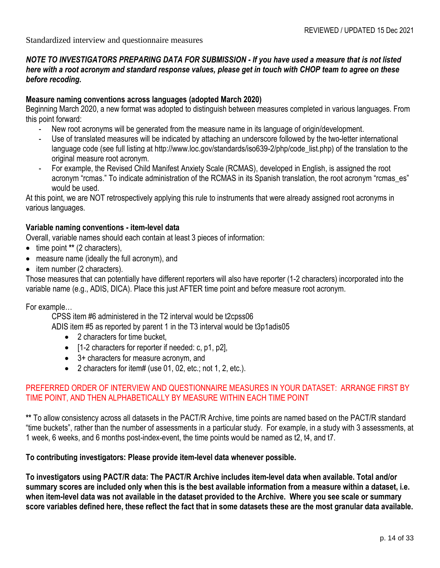Standardized interview and questionnaire measures

#### *NOTE TO INVESTIGATORS PREPARING DATA FOR SUBMISSION - If you have used a measure that is not listed here with a root acronym and standard response values, please get in touch with CHOP team to agree on these before recoding.*

#### **Measure naming conventions across languages (adopted March 2020)**

Beginning March 2020, a new format was adopted to distinguish between measures completed in various languages. From this point forward:

- New root acronyms will be generated from the measure name in its language of origin/development.
- Use of translated measures will be indicated by attaching an underscore followed by the two-letter international language code (see full listing at http://www.loc.gov/standards/iso639-2/php/code\_list.php) of the translation to the original measure root acronym.
- For example, the Revised Child Manifest Anxiety Scale (RCMAS), developed in English, is assigned the root acronym "rcmas." To indicate administration of the RCMAS in its Spanish translation, the root acronym "rcmas\_es" would be used.

At this point, we are NOT retrospectively applying this rule to instruments that were already assigned root acronyms in various languages.

#### **Variable naming conventions - item-level data**

Overall, variable names should each contain at least 3 pieces of information:

- time point **\*\*** (2 characters),
- measure name (ideally the full acronym), and
- item number (2 characters).

Those measures that can potentially have different reporters will also have reporter (1-2 characters) incorporated into the variable name (e.g., ADIS, DICA). Place this just AFTER time point and before measure root acronym.

For example…

CPSS item #6 administered in the T2 interval would be t2cpss06

ADIS item #5 as reported by parent 1 in the T3 interval would be t3p1adis05

- 2 characters for time bucket.
- [1-2 characters for reporter if needed: c, p1, p2],
- 3+ characters for measure acronym, and
- 2 characters for item# (use 01, 02, etc.; not 1, 2, etc.).

#### PREFERRED ORDER OF INTERVIEW AND QUESTIONNAIRE MEASURES IN YOUR DATASET: ARRANGE FIRST BY TIME POINT, AND THEN ALPHABETICALLY BY MEASURE WITHIN EACH TIME POINT

**\*\*** To allow consistency across all datasets in the PACT/R Archive, time points are named based on the PACT/R standard "time buckets", rather than the number of assessments in a particular study. For example, in a study with 3 assessments, at 1 week, 6 weeks, and 6 months post-index-event, the time points would be named as t2, t4, and t7.

#### **To contributing investigators: Please provide item-level data whenever possible.**

**To investigators using PACT/R data: The PACT/R Archive includes item-level data when available. Total and/or summary scores are included only when this is the best available information from a measure within a dataset, i.e. when item-level data was not available in the dataset provided to the Archive. Where you see scale or summary score variables defined here, these reflect the fact that in some datasets these are the most granular data available.**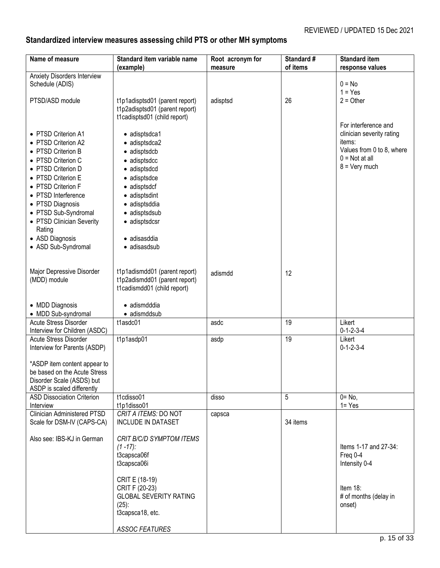# <span id="page-14-0"></span>**Standardized interview measures assessing child PTS or other MH symptoms**

| Name of measure                                                                                                                                                                                                                                                                                              | Standard item variable name<br>(example)                                                                                                                                                                                   | Root acronym for<br>measure | Standard #<br>of items | <b>Standard item</b><br>response values                                                                                                |
|--------------------------------------------------------------------------------------------------------------------------------------------------------------------------------------------------------------------------------------------------------------------------------------------------------------|----------------------------------------------------------------------------------------------------------------------------------------------------------------------------------------------------------------------------|-----------------------------|------------------------|----------------------------------------------------------------------------------------------------------------------------------------|
| <b>Anxiety Disorders Interview</b><br>Schedule (ADIS)<br>PTSD/ASD module                                                                                                                                                                                                                                     | t1p1adisptsd01 (parent report)<br>t1p2adisptsd01 (parent report)<br>t1cadisptsd01 (child report)                                                                                                                           | adisptsd                    | 26                     | $0 = No$<br>$1 = Yes$<br>$2 = Other$                                                                                                   |
| • PTSD Criterion A1<br>• PTSD Criterion A2<br>• PTSD Criterion B<br>• PTSD Criterion C<br>• PTSD Criterion D<br>• PTSD Criterion E<br>• PTSD Criterion F<br>• PTSD Interference<br>• PTSD Diagnosis<br>• PTSD Sub-Syndromal<br>• PTSD Clinician Severity<br>Rating<br>• ASD Diagnosis<br>• ASD Sub-Syndromal | • adisptsdca1<br>· adisptsdca2<br>• adisptsdcb<br>• adisptsdcc<br>$\bullet$ adisptsdcd<br>• adisptsdce<br>• adisptsdcf<br>• adisptsdint<br>· adisptsddia<br>• adisptsdsub<br>• adisptsdcsr<br>· adisasddia<br>· adisasdsub |                             |                        | For interference and<br>clinician severity rating<br>items:<br>Values from 0 to 8, where<br>$0 = Not at all$<br>$8 = \text{Very much}$ |
| Major Depressive Disorder<br>(MDD) module                                                                                                                                                                                                                                                                    | t1p1adismdd01 (parent report)<br>t1p2adismdd01 (parent report)<br>t1cadismdd01 (child report)                                                                                                                              | adismdd                     | 12                     |                                                                                                                                        |
| • MDD Diagnosis<br>• MDD Sub-syndromal                                                                                                                                                                                                                                                                       | · adismdddia<br>· adismddsub                                                                                                                                                                                               |                             |                        |                                                                                                                                        |
| Acute Stress Disorder<br>Interview for Children (ASDC)                                                                                                                                                                                                                                                       | $t1$ asdc $\overline{01}$                                                                                                                                                                                                  | asdc                        | 19                     | Likert<br>$0 - 1 - 2 - 3 - 4$                                                                                                          |
| Acute Stress Disorder<br>Interview for Parents (ASDP)<br>*ASDP item content appear to                                                                                                                                                                                                                        | t1p1asdp01                                                                                                                                                                                                                 | asdp                        | 19                     | Likert<br>$0 - 1 - 2 - 3 - 4$                                                                                                          |
| be based on the Acute Stress<br>Disorder Scale (ASDS) but                                                                                                                                                                                                                                                    |                                                                                                                                                                                                                            |                             |                        |                                                                                                                                        |
| ASDP is scaled differently<br><b>ASD Dissociation Criterion</b><br>Interview                                                                                                                                                                                                                                 | t1cdisso01<br>t1p1disso01                                                                                                                                                                                                  | disso                       | 5                      | $0 = No$ ,<br>$1 = Yes$                                                                                                                |
| <b>Clinician Administered PTSD</b><br>Scale for DSM-IV (CAPS-CA)                                                                                                                                                                                                                                             | CRIT A ITEMS: DO NOT<br>INCLUDE IN DATASET                                                                                                                                                                                 | capsca                      | 34 items               |                                                                                                                                        |
| Also see: IBS-KJ in German                                                                                                                                                                                                                                                                                   | CRIT B/C/D SYMPTOM ITEMS<br>$(1 - 17)$ :<br>t3capsca06f<br>t3capsca06i                                                                                                                                                     |                             |                        | Items 1-17 and 27-34:<br>Freq 0-4<br>Intensity 0-4                                                                                     |
|                                                                                                                                                                                                                                                                                                              | CRIT E (18-19)<br>CRIT F (20-23)<br><b>GLOBAL SEVERITY RATING</b><br>$(25)$ :<br>t3capsca18, etc.                                                                                                                          |                             |                        | Item 18:<br># of months (delay in<br>onset)                                                                                            |
|                                                                                                                                                                                                                                                                                                              | <b>ASSOC FEATURES</b>                                                                                                                                                                                                      |                             |                        |                                                                                                                                        |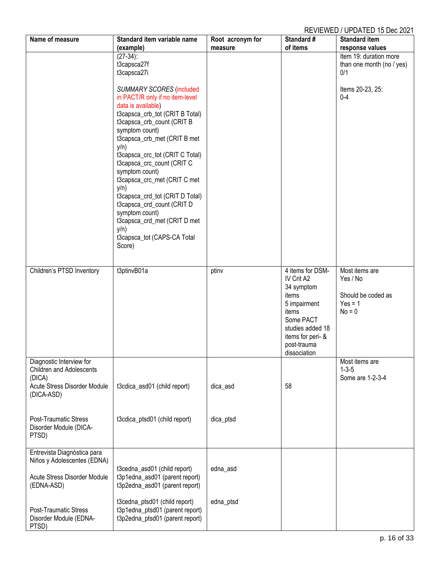| Name of measure                 | Standard item variable name     | Root acronym for | Standard #        | <b>Standard item</b>      |
|---------------------------------|---------------------------------|------------------|-------------------|---------------------------|
|                                 | (example)                       | measure          | of items          | response values           |
|                                 | $(27-34)$ :                     |                  |                   | Item 19: duration more    |
|                                 | t3capsca27f                     |                  |                   | than one month (no / yes) |
|                                 | t3capsca27i                     |                  |                   | 0/1                       |
|                                 |                                 |                  |                   |                           |
|                                 | <b>SUMMARY SCORES (included</b> |                  |                   | Items 20-23, 25:          |
|                                 | in PACT/R only if no item-level |                  |                   | $0 - 4$                   |
|                                 |                                 |                  |                   |                           |
|                                 | data is available)              |                  |                   |                           |
|                                 | t3capsca_crb_tot (CRIT B Total) |                  |                   |                           |
|                                 | t3capsca_crb_count (CRIT B      |                  |                   |                           |
|                                 | symptom count)                  |                  |                   |                           |
|                                 | t3capsca_crb_met (CRIT B met    |                  |                   |                           |
|                                 | $y/n$ )                         |                  |                   |                           |
|                                 | t3capsca_crc_tot (CRIT C Total) |                  |                   |                           |
|                                 | t3capsca_crc_count (CRIT C      |                  |                   |                           |
|                                 | symptom count)                  |                  |                   |                           |
|                                 | t3capsca_crc_met (CRIT C met    |                  |                   |                           |
|                                 | y/n)                            |                  |                   |                           |
|                                 | t3capsca_crd_tot (CRIT D Total) |                  |                   |                           |
|                                 | t3capsca_crd_count (CRIT D      |                  |                   |                           |
|                                 | symptom count)                  |                  |                   |                           |
|                                 | t3capsca_crd_met (CRIT D met    |                  |                   |                           |
|                                 | y/n                             |                  |                   |                           |
|                                 | t3capsca_tot (CAPS-CA Total     |                  |                   |                           |
|                                 | Score)                          |                  |                   |                           |
|                                 |                                 |                  |                   |                           |
|                                 |                                 |                  |                   |                           |
| Children's PTSD Inventory       | t3ptinvB01a                     | ptinv            | 4 items for DSM-  | Most items are            |
|                                 |                                 |                  | IV Crit A2        | Yes / No                  |
|                                 |                                 |                  | 34 symptom        |                           |
|                                 |                                 |                  | items             | Should be coded as        |
|                                 |                                 |                  | 5 impairment      | $Yes = 1$                 |
|                                 |                                 |                  | items             | $No = 0$                  |
|                                 |                                 |                  | Some PACT         |                           |
|                                 |                                 |                  | studies added 18  |                           |
|                                 |                                 |                  | items for peri- & |                           |
|                                 |                                 |                  | post-trauma       |                           |
|                                 |                                 |                  | dissociation      |                           |
| Diagnostic Interview for        |                                 |                  |                   | Most items are            |
| <b>Children and Adolescents</b> |                                 |                  |                   | $1 - 3 - 5$               |
| (DICA)                          |                                 |                  |                   | Some are 1-2-3-4          |
| Acute Stress Disorder Module    | t3cdica_asd01 (child report)    | dica_asd         | 58                |                           |
| (DICA-ASD)                      |                                 |                  |                   |                           |
|                                 |                                 |                  |                   |                           |
|                                 |                                 |                  |                   |                           |
| <b>Post-Traumatic Stress</b>    | t3cdica_ptsd01 (child report)   | dica_ptsd        |                   |                           |
| Disorder Module (DICA-          |                                 |                  |                   |                           |
| PTSD)                           |                                 |                  |                   |                           |
|                                 |                                 |                  |                   |                           |
| Entrevista Diagnóstica para     |                                 |                  |                   |                           |
| Niños y Adolescentes (EDNA)     |                                 |                  |                   |                           |
|                                 | t3cedna_asd01 (child report)    | edna_asd         |                   |                           |
| Acute Stress Disorder Module    | t3p1edna_asd01 (parent report)  |                  |                   |                           |
| (EDNA-ASD)                      | t3p2edna_asd01 (parent report)  |                  |                   |                           |
|                                 |                                 |                  |                   |                           |
|                                 | t3cedna_ptsd01 (child report)   | edna_ptsd        |                   |                           |
| <b>Post-Traumatic Stress</b>    | t3p1edna_ptsd01 (parent report) |                  |                   |                           |
| Disorder Module (EDNA-          | t3p2edna_ptsd01 (parent report) |                  |                   |                           |
| PTSD)                           |                                 |                  |                   |                           |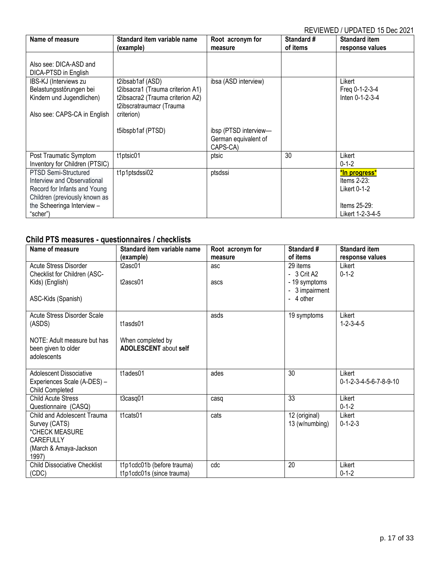| Name of measure                                                                                                                                                | Standard item variable name<br>(example)                                                                                           | Root acronym for<br>measure                               | Standard #<br>of items | <b>Standard item</b><br>response values                                                |
|----------------------------------------------------------------------------------------------------------------------------------------------------------------|------------------------------------------------------------------------------------------------------------------------------------|-----------------------------------------------------------|------------------------|----------------------------------------------------------------------------------------|
| Also see: DICA-ASD and<br>DICA-PTSD in English                                                                                                                 |                                                                                                                                    |                                                           |                        |                                                                                        |
| IBS-KJ (Interviews zu<br>Belastungsstörungen bei<br>Kindern und Jugendlichen)<br>Also see: CAPS-CA in English                                                  | t2ibsab1af (ASD)<br>t2ibsacra1 (Trauma criterion A1)<br>t2ibsacra2 (Trauma criterion A2)<br>t2ibscratraumacr (Trauma<br>criterion) | ibsa (ASD interview)                                      |                        | Likert<br>Freq 0-1-2-3-4<br>Inten 0-1-2-3-4                                            |
|                                                                                                                                                                | t5ibspb1af (PTSD)                                                                                                                  | ibsp (PTSD interview-<br>German equivalent of<br>CAPS-CA) |                        |                                                                                        |
| Post Traumatic Symptom<br>Inventory for Children (PTSIC)                                                                                                       | t1ptsic01                                                                                                                          | ptsic                                                     | 30                     | Likert<br>$0 - 1 - 2$                                                                  |
| PTSD Semi-Structured<br>Interview and Observational<br>Record for Infants and Young<br>Children (previously known as<br>the Scheeringa Interview -<br>"scher") | t1p1ptsdssi02                                                                                                                      | ptsdssi                                                   |                        | *In progress*<br>Items $2-23$ :<br>Likert 0-1-2<br>Items $25-29$ :<br>Likert 1-2-3-4-5 |

# <span id="page-16-0"></span>**Child PTS measures - questionnaires / checklists**

| Name of measure                     | Standard item variable name  | Root acronym for | Standard #                     | <b>Standard item</b>                         |
|-------------------------------------|------------------------------|------------------|--------------------------------|----------------------------------------------|
|                                     | (example)                    | measure          | of items                       | response values                              |
| Acute Stress Disorder               | t2asc01                      | asc              | 29 items                       | Likert                                       |
| Checklist for Children (ASC-        |                              |                  | - 3 Crit A2                    | $0 - 1 - 2$                                  |
| Kids) (English)                     | $t2$ ascs $01$               | ascs             | - 19 symptoms                  |                                              |
|                                     |                              |                  | 3 impairment<br>$\blacksquare$ |                                              |
| ASC-Kids (Spanish)                  |                              |                  | - 4 other                      |                                              |
|                                     |                              |                  |                                |                                              |
| Acute Stress Disorder Scale         |                              | asds             | 19 symptoms                    | Likert                                       |
| (ASDS)                              | t1asds01                     |                  |                                | $1 - 2 - 3 - 4 - 5$                          |
| NOTE: Adult measure but has         | When completed by            |                  |                                |                                              |
| been given to older                 | <b>ADOLESCENT</b> about self |                  |                                |                                              |
| adolescents                         |                              |                  |                                |                                              |
|                                     |                              |                  |                                |                                              |
| Adolescent Dissociative             | t1ades01                     | ades             | 30                             | Likert                                       |
| Experiences Scale (A-DES) -         |                              |                  |                                | $0 - 1 - 2 - 3 - 4 - 5 - 6 - 7 - 8 - 9 - 10$ |
| Child Completed                     |                              |                  |                                |                                              |
| <b>Child Acute Stress</b>           | t3casq01                     | casq             | 33                             | Likert                                       |
| Questionnaire (CASQ)                |                              |                  |                                | $0 - 1 - 2$                                  |
| Child and Adolescent Trauma         | t1cats01                     | cats             | 12 (original)                  | Likert                                       |
| Survey (CATS)                       |                              |                  | 13 (w/numbing)                 | $0 - 1 - 2 - 3$                              |
| *CHECK MEASURE                      |                              |                  |                                |                                              |
| <b>CAREFULLY</b>                    |                              |                  |                                |                                              |
| (March & Amaya-Jackson              |                              |                  |                                |                                              |
| 1997)                               |                              |                  |                                |                                              |
| <b>Child Dissociative Checklist</b> | t1p1cdc01b (before trauma)   | cdc              | 20                             | Likert                                       |
| (CDC)                               | t1p1cdc01s (since trauma)    |                  |                                | $0 - 1 - 2$                                  |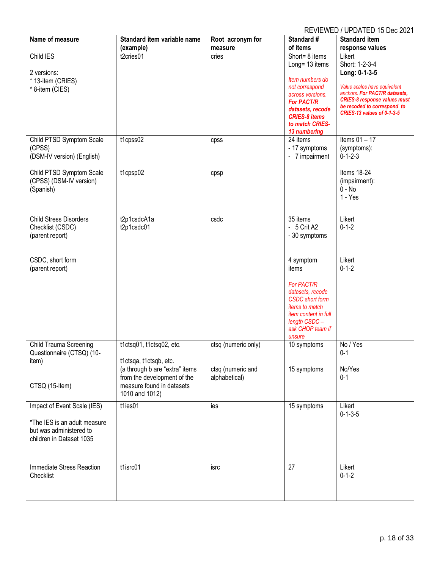| Name of measure               | Standard item variable name    | Root acronym for    | Standard #                  | <b>Standard item</b>                                      |
|-------------------------------|--------------------------------|---------------------|-----------------------------|-----------------------------------------------------------|
|                               | (example)                      | measure             | of items                    | response values                                           |
| Child IES                     | t2cries01                      | cries               | Short= 8 items              | Likert                                                    |
|                               |                                |                     | Long= 13 items              | Short: 1-2-3-4                                            |
| 2 versions:                   |                                |                     |                             | Long: 0-1-3-5                                             |
| * 13-item (CRIES)             |                                |                     | Item numbers do             |                                                           |
| * 8-item (CIES)               |                                |                     | not correspond              | Value scales have equivalent                              |
|                               |                                |                     | across versions.            | anchors. For PACT/R datasets,                             |
|                               |                                |                     | <b>For PACT/R</b>           | <b>CRIES-8 response values must</b>                       |
|                               |                                |                     | datasets, recode            | be recoded to correspond to<br>CRIES-13 values of 0-1-3-5 |
|                               |                                |                     | <b>CRIES-8 items</b>        |                                                           |
|                               |                                |                     | to match CRIES-             |                                                           |
|                               |                                |                     | 13 numbering                |                                                           |
| Child PTSD Symptom Scale      | t1cpss02                       | cpss                | 24 items                    | Items $01 - 17$                                           |
| (CPSS)                        |                                |                     | - 17 symptoms               | (symptoms):                                               |
| (DSM-IV version) (English)    |                                |                     | - 7 impairment              | $0 - 1 - 2 - 3$                                           |
|                               |                                |                     |                             |                                                           |
| Child PTSD Symptom Scale      | t1cpsp02                       | cpsp                |                             | Items 18-24                                               |
| (CPSS) (DSM-IV version)       |                                |                     |                             | (impairment):                                             |
| (Spanish)                     |                                |                     |                             | $0 - No$                                                  |
|                               |                                |                     |                             | $1 - Yes$                                                 |
|                               |                                |                     |                             |                                                           |
| <b>Child Stress Disorders</b> | t2p1csdcA1a                    | csdc                | 35 items                    | Likert                                                    |
| Checklist (CSDC)              | t2p1csdc01                     |                     | - 5 Crit A2                 | $0 - 1 - 2$                                               |
| (parent report)               |                                |                     | - 30 symptoms               |                                                           |
|                               |                                |                     |                             |                                                           |
|                               |                                |                     |                             |                                                           |
| CSDC, short form              |                                |                     | 4 symptom                   | Likert                                                    |
|                               |                                |                     | items                       | $0 - 1 - 2$                                               |
| (parent report)               |                                |                     |                             |                                                           |
|                               |                                |                     | <b>For PACT/R</b>           |                                                           |
|                               |                                |                     | datasets, recode            |                                                           |
|                               |                                |                     | <b>CSDC</b> short form      |                                                           |
|                               |                                |                     | items to match              |                                                           |
|                               |                                |                     | <i>item content in full</i> |                                                           |
|                               |                                |                     | length CSDC-                |                                                           |
|                               |                                |                     | ask CHOP team if            |                                                           |
|                               |                                |                     | unsure                      |                                                           |
| <b>Child Trauma Screening</b> | t1ctsq01, t1ctsq02, etc.       | ctsq (numeric only) | 10 symptoms                 | No / Yes                                                  |
| Questionnaire (CTSQ) (10-     |                                |                     |                             | $0 - 1$                                                   |
| item)                         | t1ctsga, t1ctsgb, etc.         |                     |                             |                                                           |
|                               | (a through b are "extra" items | ctsq (numeric and   | 15 symptoms                 | No/Yes                                                    |
|                               | from the development of the    | alphabetical)       |                             | $0 - 1$                                                   |
| CTSQ (15-item)                | measure found in datasets      |                     |                             |                                                           |
|                               | 1010 and 1012)                 |                     |                             |                                                           |
| Impact of Event Scale (IES)   | t1ies01                        | ies                 | 15 symptoms                 | Likert                                                    |
|                               |                                |                     |                             | $0 - 1 - 3 - 5$                                           |
| *The IES is an adult measure  |                                |                     |                             |                                                           |
| but was administered to       |                                |                     |                             |                                                           |
| children in Dataset 1035      |                                |                     |                             |                                                           |
|                               |                                |                     |                             |                                                           |
|                               |                                |                     |                             |                                                           |
|                               |                                |                     |                             |                                                           |
| Immediate Stress Reaction     | t1isrc01                       | isrc                | 27                          | Likert                                                    |
| Checklist                     |                                |                     |                             | $0 - 1 - 2$                                               |
|                               |                                |                     |                             |                                                           |
|                               |                                |                     |                             |                                                           |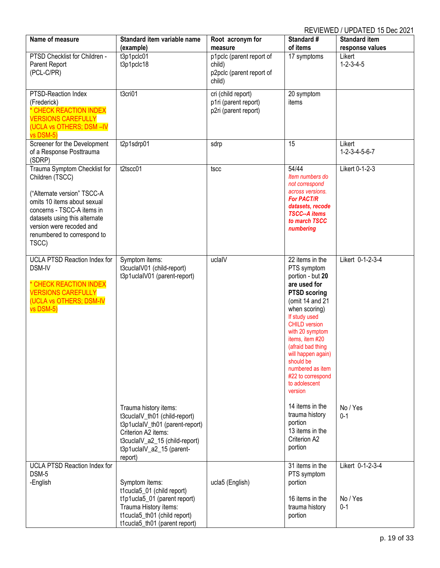| Name of measure                                                                                                                                                                                                                                  | Standard item variable name                                                                                                                                                                | Root acronym for                                                                    | Standard #<br>of items                                                                                                                                                                                                                                                                                                                    | <b>Standard item</b>                             |
|--------------------------------------------------------------------------------------------------------------------------------------------------------------------------------------------------------------------------------------------------|--------------------------------------------------------------------------------------------------------------------------------------------------------------------------------------------|-------------------------------------------------------------------------------------|-------------------------------------------------------------------------------------------------------------------------------------------------------------------------------------------------------------------------------------------------------------------------------------------------------------------------------------------|--------------------------------------------------|
| PTSD Checklist for Children -<br>Parent Report<br>(PCL-C/PR)                                                                                                                                                                                     | (example)<br>t3p1pclc01<br>t3p1pclc18                                                                                                                                                      | measure<br>p1pclc (parent report of<br>child)<br>p2pclc (parent report of<br>child) | 17 symptoms                                                                                                                                                                                                                                                                                                                               | response values<br>Likert<br>$1 - 2 - 3 - 4 - 5$ |
| PTSD-Reaction Index<br>(Frederick)<br>* CHECK REACTION INDEX<br><b>VERSIONS CAREFULLY</b><br>(UCLA vs OTHERS; DSM-IV<br>vs DSM-5)                                                                                                                | t3cri01                                                                                                                                                                                    | cri (child report)<br>p1ri (parent report)<br>p2ri (parent report)                  | 20 symptom<br>items                                                                                                                                                                                                                                                                                                                       |                                                  |
| Screener for the Development<br>of a Response Posttrauma<br>(SDRP)                                                                                                                                                                               | t2p1sdrp01                                                                                                                                                                                 | sdrp                                                                                | 15                                                                                                                                                                                                                                                                                                                                        | Likert<br>$1 - 2 - 3 - 4 - 5 - 6 - 7$            |
| Trauma Symptom Checklist for<br>Children (TSCC)<br>("Alternate version" TSCC-A<br>omits 10 items about sexual<br>concerns - TSCC-A items in<br>datasets using this alternate<br>version were recoded and<br>renumbered to correspond to<br>TSCC) | t2tscc01                                                                                                                                                                                   | tscc                                                                                | 54/44<br>Item numbers do<br>not correspond<br>across versions.<br><b>For PACT/R</b><br>datasets, recode<br><b>TSCC--A items</b><br>to march TSCC<br>numbering                                                                                                                                                                             | Likert 0-1-2-3                                   |
| <b>UCLA PTSD Reaction Index for</b><br>DSM-IV<br>* CHECK REACTION INDEX<br><b>VERSIONS CAREFULLY</b><br>(UCLA vs OTHERS; DSM-IV<br>vs DSM-5)                                                                                                     | Symptom items:<br>t3cuclaIV01 (child-report)<br>t3p1uclalV01 (parent-report)                                                                                                               | uclalV                                                                              | 22 items in the<br>PTS symptom<br>portion - but 20<br>are used for<br><b>PTSD scoring</b><br>(omit 14 and 21<br>when scoring)<br>If study used<br><b>CHILD version</b><br>with 20 symptom<br>items, item #20<br>(afraid bad thing<br>will happen again)<br>should be<br>numbered as item<br>#22 to correspond<br>to adolescent<br>version | Likert 0-1-2-3-4                                 |
|                                                                                                                                                                                                                                                  | Trauma history items:<br>t3cuclaIV_th01 (child-report)<br>t3p1uclalV_th01 (parent-report)<br>Criterion A2 items:<br>t3cuclaIV_a2_15 (child-report)<br>t3p1uclaIV_a2_15 (parent-<br>report) |                                                                                     | 14 items in the<br>trauma history<br>portion<br>13 items in the<br>Criterion A2<br>portion                                                                                                                                                                                                                                                | No / Yes<br>$0 - 1$                              |
| UCLA PTSD Reaction Index for<br>DSM-5<br>-English                                                                                                                                                                                                | Symptom ítems:<br>t1cucla5_01 (child report)<br>t1p1ucla5_01 (parent report)<br>Trauma History ítems:<br>t1cucla5_th01 (child report)<br>t1cucla5_th01 (parent report)                     | ucla5 (English)                                                                     | 31 items in the<br>PTS symptom<br>portion<br>16 items in the<br>trauma history<br>portion                                                                                                                                                                                                                                                 | Likert 0-1-2-3-4<br>No / Yes<br>$0 - 1$          |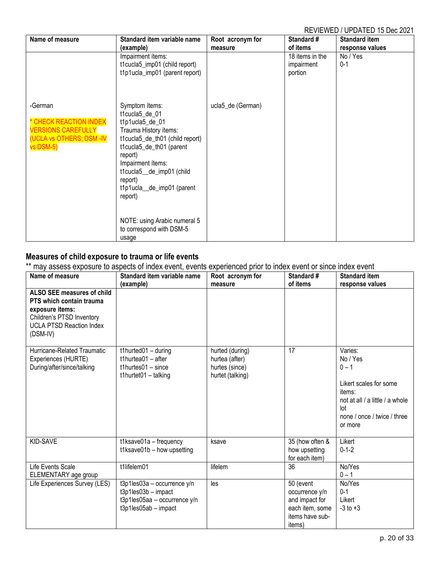| Name of measure                                                                                         | Standard item variable name<br>(example)                                                                                                                                                                                                                                                                               | Root acronym for<br>measure | Standard #<br>of items                   | <b>Standard item</b><br>response values |
|---------------------------------------------------------------------------------------------------------|------------------------------------------------------------------------------------------------------------------------------------------------------------------------------------------------------------------------------------------------------------------------------------------------------------------------|-----------------------------|------------------------------------------|-----------------------------------------|
|                                                                                                         | Impairment ítems:<br>t1cucla5_imp01 (child report)<br>t1p1ucla_imp01 (parent report)                                                                                                                                                                                                                                   |                             | 18 items in the<br>impairment<br>portion | No / Yes<br>$0 - 1$                     |
| -German<br>* CHECK REACTION INDEX<br><b>VERSIONS CAREFULLY</b><br>(UCLA vs OTHERS; DSM -IV<br>vs DSM-5) | Symptom ítems:<br>t1cucla5_de_01<br>t1p1ucla5_de_01<br>Trauma History ítems:<br>t1cucla5_de_th01 (child report)<br>t1cucla5_de_th01 (parent<br>report)<br>Impairment ítems:<br>t1cucla5_de_imp01 (child<br>report)<br>t1p1ucla_de_imp01 (parent<br>report)<br>NOTE: using Arabic numeral 5<br>to correspond with DSM-5 | ucla5_de (German)           |                                          |                                         |

#### <span id="page-19-0"></span>**Measures of child exposure to trauma or life events**

\*\* may assess exposure to aspects of index event, events experienced prior to index event or since index event

| Name of measure                                                                                                                                       | Standard item variable name<br>(example)                                                                       | Root acronym for<br>measure                                             | Standard #<br>of items                                                                                | <b>Standard item</b><br>response values                                                                                                                |
|-------------------------------------------------------------------------------------------------------------------------------------------------------|----------------------------------------------------------------------------------------------------------------|-------------------------------------------------------------------------|-------------------------------------------------------------------------------------------------------|--------------------------------------------------------------------------------------------------------------------------------------------------------|
| ALSO SEE measures of child<br>PTS which contain trauma<br>exposure items:<br>Children's PTSD Inventory<br><b>UCLA PTSD Reaction Index</b><br>(DSM-IV) |                                                                                                                |                                                                         |                                                                                                       |                                                                                                                                                        |
| Hurricane-Related Traumatic<br>Experiences (HURTE)<br>During/after/since/talking                                                                      | t1hurted $01 -$ during<br>t1hurtea01 $-$ after<br>t1hurtes $01 -$ since<br>$t1$ hurtet $01 - t$ alking         | hurted (during)<br>hurtea (after)<br>hurtes (since)<br>hurtet (talking) | 17                                                                                                    | Varies:<br>No / Yes<br>$0 - 1$<br>Likert scales for some<br>items:<br>not at all / a little / a whole<br>lot<br>none / once / twice / three<br>or more |
| KID-SAVE                                                                                                                                              | t1ksave01a - frequency<br>t1ksave01b - how upsetting                                                           | ksave                                                                   | 35 (how often &<br>how upsetting<br>for each item)                                                    | Likert<br>$0 - 1 - 2$                                                                                                                                  |
| Life Events Scale<br>ELEMENTARY age group                                                                                                             | t1lifelem01                                                                                                    | lifelem                                                                 | 36                                                                                                    | No/Yes<br>$0 - 1$                                                                                                                                      |
| Life Experiences Survey (LES)                                                                                                                         | $t3p1les03a - occurrence$ y/n<br>t3p1les03b - impact<br>t3p1les05aa - occurrence $y/n$<br>t3p1les05ab - impact | les                                                                     | 50 (event<br>occurrence y/n<br>and impact for<br>each item, some<br>items have sub-<br><i>items</i> ) | No/Yes<br>$0 - 1$<br>Likert<br>$-3$ to $+3$                                                                                                            |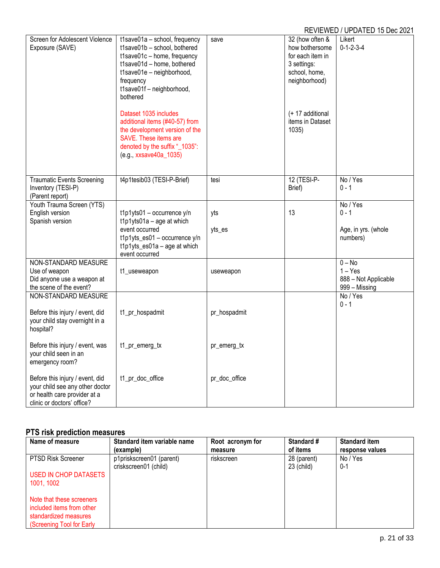|                                                                                                                                  |                                                                                                                                                                                                               |               |                                                                                                        | IN LYIL WED TOT DATED TO DCC 2021                              |
|----------------------------------------------------------------------------------------------------------------------------------|---------------------------------------------------------------------------------------------------------------------------------------------------------------------------------------------------------------|---------------|--------------------------------------------------------------------------------------------------------|----------------------------------------------------------------|
| Screen for Adolescent Violence<br>Exposure (SAVE)                                                                                | t1save01a - school, frequency<br>t1save01b - school, bothered<br>t1save01c - home, frequency<br>t1save01d - home, bothered<br>t1save01e - neighborhood,<br>frequency<br>t1save01f - neighborhood,<br>bothered | save          | 32 (how often &<br>how bothersome<br>for each item in<br>3 settings:<br>school, home,<br>neighborhood) | Likert<br>$0 - 1 - 2 - 3 - 4$                                  |
|                                                                                                                                  | Dataset 1035 includes<br>additional items (#40-57) from<br>the development version of the<br>SAVE. These items are<br>denoted by the suffix "_1035":<br>(e.g., xxsave40a_1035)                                |               | (+ 17 additional<br>items in Dataset<br>1035)                                                          |                                                                |
| <b>Traumatic Events Screening</b><br>Inventory (TESI-P)<br>(Parent report)                                                       | t4p1tesib03 (TESI-P-Brief)                                                                                                                                                                                    | tesi          | 12 (TESI-P-<br>Brief)                                                                                  | No / Yes<br>$0 - 1$                                            |
| Youth Trauma Screen (YTS)<br>English version<br>Spanish version                                                                  | $t1p1yts01 - occurrence y/n$<br>$t1p1yts01a - age$ at which                                                                                                                                                   | yts           | 13                                                                                                     | No / Yes<br>$0 - 1$                                            |
|                                                                                                                                  | event occurred<br>t1p1yts_es01 - occurrence y/n<br>t1p1yts_es01a - age at which<br>event occurred                                                                                                             | yts_es        |                                                                                                        | Age, in yrs. (whole<br>numbers)                                |
| NON-STANDARD MEASURE<br>Use of weapon<br>Did anyone use a weapon at<br>the scene of the event?                                   | t1_useweapon                                                                                                                                                                                                  | useweapon     |                                                                                                        | $0 - No$<br>$1 - Yes$<br>888 - Not Applicable<br>999 - Missing |
| NON-STANDARD MEASURE<br>Before this injury / event, did<br>your child stay overnight in a<br>hospital?                           | t1_pr_hospadmit                                                                                                                                                                                               | pr_hospadmit  |                                                                                                        | No / Yes<br>$0 - 1$                                            |
| Before this injury / event, was<br>your child seen in an<br>emergency room?                                                      | t1_pr_emerg_tx                                                                                                                                                                                                | pr_emerg_tx   |                                                                                                        |                                                                |
| Before this injury / event, did<br>your child see any other doctor<br>or health care provider at a<br>clinic or doctors' office? | t1_pr_doc_office                                                                                                                                                                                              | pr_doc_office |                                                                                                        |                                                                |

# <span id="page-20-0"></span>**PTS risk prediction measures**

| Name of measure           | Standard item variable name                       | Root acronym for | Standard #                | <b>Standard item</b> |
|---------------------------|---------------------------------------------------|------------------|---------------------------|----------------------|
|                           | (example)                                         | measure          | of items                  | response values      |
| PTSD Risk Screener        | p1priskscreen01 (parent)<br>criskscreen01 (child) | riskscreen       | 28 (parent)<br>23 (child) | No / Yes<br>$0 - 1$  |
| USED IN CHOP DATASETS     |                                                   |                  |                           |                      |
| 1001, 1002                |                                                   |                  |                           |                      |
| Note that these screeners |                                                   |                  |                           |                      |
| included items from other |                                                   |                  |                           |                      |
| standardized measures     |                                                   |                  |                           |                      |
| (Screening Tool for Early |                                                   |                  |                           |                      |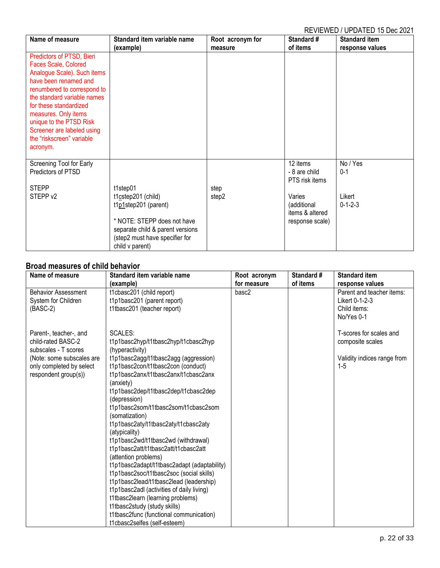| Name of measure                                                                                                                                                                                                                                                                                                             | Standard item variable name                                                                                                                                                    | Root acronym for | Standard #                                                                                                 | <b>Standard item</b>                             |
|-----------------------------------------------------------------------------------------------------------------------------------------------------------------------------------------------------------------------------------------------------------------------------------------------------------------------------|--------------------------------------------------------------------------------------------------------------------------------------------------------------------------------|------------------|------------------------------------------------------------------------------------------------------------|--------------------------------------------------|
| Predictors of PTSD, Bieri<br>Faces Scale, Colored<br>Analogue Scale). Such items<br>have been renamed and<br>renumbered to correspond to<br>the standard variable names<br>for these standardized<br>measures. Only items<br>unique to the PTSD Risk<br>Screener are labeled using<br>the "riskscreen" variable<br>acronym. | (example)                                                                                                                                                                      | measure          | of items                                                                                                   | response values                                  |
| Screening Tool for Early<br>Predictors of PTSD<br><b>STEPP</b><br>STEPP v2                                                                                                                                                                                                                                                  | t1step01<br>t1cstep201 (child)<br>t1p1step201 (parent)<br>* NOTE: STEPP does not have<br>separate child & parent versions<br>(step2 must have specifier for<br>child v parent) | step<br>step2    | 12 items<br>- 8 are child<br>PTS risk items<br>Varies<br>(additional<br>items & altered<br>response scale) | No / Yes<br>$0 - 1$<br>Likert<br>$0 - 1 - 2 - 3$ |

# <span id="page-21-0"></span>**Broad measures of child behavior**

| Name of measure            | Standard item variable name                 | Root acronym | Standard # | <b>Standard item</b>        |
|----------------------------|---------------------------------------------|--------------|------------|-----------------------------|
|                            | (example)                                   | for measure  | of items   | response values             |
| <b>Behavior Assessment</b> | t1cbasc201 (child report)                   | basc2        |            | Parent and teacher items:   |
| System for Children        | t1p1basc201 (parent report)                 |              |            | Likert 0-1-2-3              |
| $(BASC-2)$                 | t1tbasc201 (teacher report)                 |              |            | Child items:                |
|                            |                                             |              |            | No/Yes 0-1                  |
| Parent-, teacher-, and     | SCALES:                                     |              |            | T-scores for scales and     |
| child-rated BASC-2         | t1p1basc2hyp/t1tbasc2hyp/t1cbasc2hyp        |              |            | composite scales            |
| subscales - T scores       | (hyperactivity)                             |              |            |                             |
| (Note: some subscales are  | t1p1basc2agg/t1tbasc2agg (aggression)       |              |            | Validity indices range from |
| only completed by select   | t1p1basc2con/t1tbasc2con (conduct)          |              |            | $1 - 5$                     |
| respondent group(s))       | t1p1basc2anx/t1tbasc2anx/t1cbasc2anx        |              |            |                             |
|                            | (anxiety)                                   |              |            |                             |
|                            | t1p1basc2dep/t1tbasc2dep/t1cbasc2dep        |              |            |                             |
|                            | (depression)                                |              |            |                             |
|                            | t1p1basc2som/t1tbasc2som/t1cbasc2som        |              |            |                             |
|                            | (somatization)                              |              |            |                             |
|                            | t1p1basc2aty/t1tbasc2aty/t1cbasc2aty        |              |            |                             |
|                            | (atypicality)                               |              |            |                             |
|                            | t1p1basc2wd/t1tbasc2wd (withdrawal)         |              |            |                             |
|                            | t1p1basc2att/t1tbasc2att/t1cbasc2att        |              |            |                             |
|                            | (attention problems)                        |              |            |                             |
|                            | t1p1basc2adapt/t1tbasc2adapt (adaptability) |              |            |                             |
|                            | t1p1basc2soc/t1tbasc2soc (social skills)    |              |            |                             |
|                            | t1p1basc2lead/t1tbasc2lead (leadership)     |              |            |                             |
|                            | t1p1basc2adl (activities of daily living)   |              |            |                             |
|                            | t1tbasc2learn (learning problems)           |              |            |                             |
|                            | t1tbasc2study (study skills)                |              |            |                             |
|                            | t1tbasc2func (functional communication)     |              |            |                             |
|                            | t1cbasc2selfes (self-esteem)                |              |            |                             |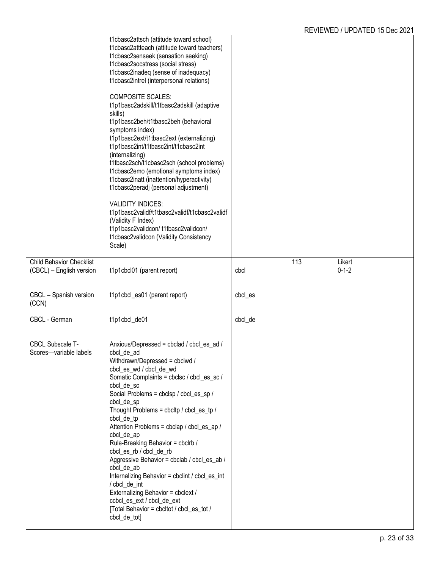|                                                   | t1cbasc2attsch (attitude toward school)<br>t1cbasc2attteach (attitude toward teachers)<br>t1cbasc2senseek (sensation seeking)<br>t1cbasc2socstress (social stress)<br>t1cbasc2inadeq (sense of inadequacy)<br>t1cbasc2intrel (interpersonal relations)<br><b>COMPOSITE SCALES:</b><br>t1p1basc2adskill/t1tbasc2adskill (adaptive<br>skills)<br>t1p1basc2beh/t1tbasc2beh (behavioral<br>symptoms index)<br>t1p1basc2ext/t1tbasc2ext (externalizing)<br>t1p1basc2int/t1tbasc2int/t1cbasc2int<br>(internalizing)<br>t1tbasc2sch/t1cbasc2sch (school problems)<br>t1cbasc2emo (emotional symptoms index)<br>t1cbasc2inatt (inattention/hyperactivity)<br>t1cbasc2peradj (personal adjustment)<br><b>VALIDITY INDICES:</b><br>t1p1basc2validf/t1tbasc2validf/t1cbasc2validf<br>(Validity F Index)<br>t1p1basc2validcon/t1tbasc2validcon/<br>t1cbasc2validcon (Validity Consistency<br>Scale) |         |     |             |
|---------------------------------------------------|-----------------------------------------------------------------------------------------------------------------------------------------------------------------------------------------------------------------------------------------------------------------------------------------------------------------------------------------------------------------------------------------------------------------------------------------------------------------------------------------------------------------------------------------------------------------------------------------------------------------------------------------------------------------------------------------------------------------------------------------------------------------------------------------------------------------------------------------------------------------------------------------|---------|-----|-------------|
| <b>Child Behavior Checklist</b>                   |                                                                                                                                                                                                                                                                                                                                                                                                                                                                                                                                                                                                                                                                                                                                                                                                                                                                                         |         | 113 | Likert      |
| (CBCL) - English version                          | t1p1cbcl01 (parent report)                                                                                                                                                                                                                                                                                                                                                                                                                                                                                                                                                                                                                                                                                                                                                                                                                                                              | cbcl    |     | $0 - 1 - 2$ |
| CBCL - Spanish version<br>(CCN)                   | t1p1cbcl_es01 (parent report)                                                                                                                                                                                                                                                                                                                                                                                                                                                                                                                                                                                                                                                                                                                                                                                                                                                           | cbcl_es |     |             |
| CBCL - German                                     | t1p1cbcl_de01                                                                                                                                                                                                                                                                                                                                                                                                                                                                                                                                                                                                                                                                                                                                                                                                                                                                           | cbcl_de |     |             |
| <b>CBCL Subscale T-</b><br>Scores-variable labels | Anxious/Depressed = cbclad / cbcl_es_ad /<br>cbcl_de_ad<br>Withdrawn/Depressed = cbclwd /<br>cbcl_es_wd / cbcl_de_wd<br>Somatic Complaints = cbclsc / cbcl_es_sc /<br>cbcl_de_sc<br>Social Problems = cbclsp / cbcl_es_sp /<br>cbcl_de_sp<br>Thought Problems = cbcltp / cbcl_es_tp /<br>cbcl_de_tp<br>Attention Problems = cbclap / cbcl_es_ap /<br>cbcl_de_ap<br>Rule-Breaking Behavior = cbclrb /<br>cbcl_es_rb / cbcl_de_rb<br>Aggressive Behavior = cbclab / cbcl_es_ab /<br>cbcl_de_ab<br>Internalizing Behavior = cbclint / cbcl_es_int<br>/ cbcl_de_int<br>Externalizing Behavior = cbclext /<br>ccbcl_es_ext / cbcl_de_ext<br>[Total Behavior = cbcltot / cbcl_es_tot /<br>cbcl_de_tot]                                                                                                                                                                                        |         |     |             |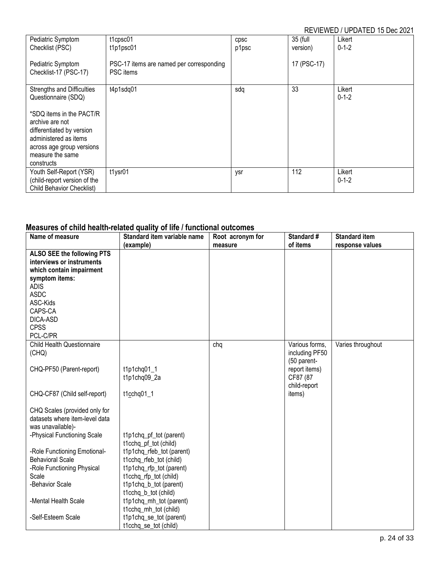| Pediatric Symptom                                                                                                                                                | t1cpsc01                                              | <b>CDSC</b> | 35 (full    | Likert                |
|------------------------------------------------------------------------------------------------------------------------------------------------------------------|-------------------------------------------------------|-------------|-------------|-----------------------|
| Checklist (PSC)                                                                                                                                                  | t1p1psc01                                             | p1psc       | version)    | $0 - 1 - 2$           |
| Pediatric Symptom<br>Checklist-17 (PSC-17)                                                                                                                       | PSC-17 items are named per corresponding<br>PSC items |             | 17 (PSC-17) |                       |
| <b>Strengths and Difficulties</b><br>Questionnaire (SDQ)                                                                                                         | t4p1sdq01                                             | sdq         | 33          | Likert<br>$0 - 1 - 2$ |
| *SDQ items in the PACT/R<br>archive are not<br>differentiated by version<br>administered as items<br>across age group versions<br>measure the same<br>constructs |                                                       |             |             |                       |
| Youth Self-Report (YSR)<br>(child-report version of the<br><b>Child Behavior Checklist)</b>                                                                      | t1ysr01                                               | ysr         | 112         | Likert<br>$0 - 1 - 2$ |

# <span id="page-23-0"></span>**Measures of child health-related quality of life / functional outcomes**

| Name of measure                   | Standard item variable name | Root acronym for | Standard #     | <b>Standard item</b> |
|-----------------------------------|-----------------------------|------------------|----------------|----------------------|
|                                   | (example)                   | measure          | of items       | response values      |
| ALSO SEE the following PTS        |                             |                  |                |                      |
| interviews or instruments         |                             |                  |                |                      |
| which contain impairment          |                             |                  |                |                      |
| symptom items:                    |                             |                  |                |                      |
| <b>ADIS</b>                       |                             |                  |                |                      |
| <b>ASDC</b>                       |                             |                  |                |                      |
| ASC-Kids                          |                             |                  |                |                      |
| CAPS-CA                           |                             |                  |                |                      |
| DICA-ASD                          |                             |                  |                |                      |
| <b>CPSS</b>                       |                             |                  |                |                      |
| PCL-C/PR                          |                             |                  |                |                      |
| <b>Child Health Questionnaire</b> |                             | chq              | Various forms, | Varies throughout    |
| (CHQ)                             |                             |                  | including PF50 |                      |
|                                   |                             |                  | (50 parent-    |                      |
| CHQ-PF50 (Parent-report)          | t1p1chq01_1                 |                  | report items)  |                      |
|                                   | t1p1chq09_2a                |                  | CF87 (87       |                      |
|                                   |                             |                  | child-report   |                      |
| CHQ-CF87 (Child self-report)      | $t1$ cchq01_1               |                  | items)         |                      |
|                                   |                             |                  |                |                      |
| CHQ Scales (provided only for     |                             |                  |                |                      |
| datasets where item-level data    |                             |                  |                |                      |
| was unavailable)-                 |                             |                  |                |                      |
| -Physical Functioning Scale       | t1p1chq_pf_tot (parent)     |                  |                |                      |
|                                   | t1cchq_pf_tot (child)       |                  |                |                      |
| -Role Functioning Emotional-      | t1p1chq_rfeb_tot (parent)   |                  |                |                      |
| <b>Behavioral Scale</b>           | t1cchq_rfeb_tot (child)     |                  |                |                      |
| -Role Functioning Physical        | t1p1chq_rfp_tot (parent)    |                  |                |                      |
| Scale                             | t1cchq_rfp_tot (child)      |                  |                |                      |
| -Behavior Scale                   | t1p1chq_b_tot (parent)      |                  |                |                      |
|                                   | t1cchq_b_tot (child)        |                  |                |                      |
| -Mental Health Scale              | t1p1chq_mh_tot (parent)     |                  |                |                      |
|                                   | t1cchq_mh_tot (child)       |                  |                |                      |
| -Self-Esteem Scale                | t1p1chq_se_tot (parent)     |                  |                |                      |
|                                   | t1cchq_se_tot (child)       |                  |                |                      |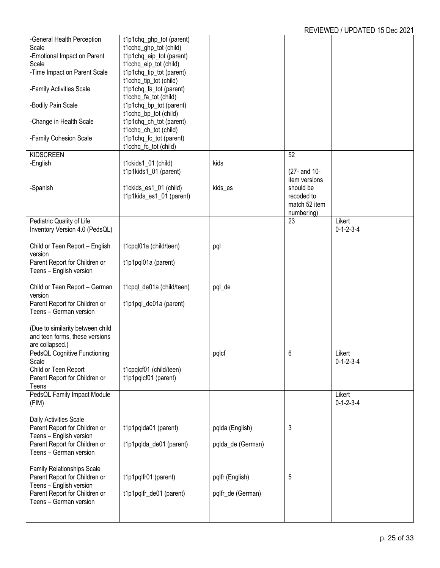| -General Health Perception       | t1p1chq_ghp_tot (parent)  |                   |               |                     |
|----------------------------------|---------------------------|-------------------|---------------|---------------------|
| Scale                            | t1cchq_ghp_tot (child)    |                   |               |                     |
| -Emotional Impact on Parent      | t1p1chq_eip_tot (parent)  |                   |               |                     |
| Scale                            | t1cchq_eip_tot (child)    |                   |               |                     |
| -Time Impact on Parent Scale     | t1p1chq_tip_tot (parent)  |                   |               |                     |
|                                  | t1cchq_tip_tot (child)    |                   |               |                     |
|                                  |                           |                   |               |                     |
| -Family Activities Scale         | t1p1chq_fa_tot (parent)   |                   |               |                     |
|                                  | t1cchq_fa_tot (child)     |                   |               |                     |
| -Bodily Pain Scale               | t1p1chq_bp_tot (parent)   |                   |               |                     |
|                                  | t1cchq_bp_tot (child)     |                   |               |                     |
| -Change in Health Scale          | t1p1chq_ch_tot (parent)   |                   |               |                     |
|                                  | t1cchq_ch_tot (child)     |                   |               |                     |
| -Family Cohesion Scale           | t1p1chq_fc_tot (parent)   |                   |               |                     |
|                                  | t1cchq_fc_tot (child)     |                   |               |                     |
|                                  |                           |                   |               |                     |
| <b>KIDSCREEN</b>                 |                           |                   | 52            |                     |
| -English                         | t1ckids1_01 (child)       | kids              |               |                     |
|                                  | t1p1kids1_01 (parent)     |                   | (27- and 10-  |                     |
|                                  |                           |                   | item versions |                     |
| -Spanish                         | t1ckids_es1_01 (child)    | kids_es           | should be     |                     |
|                                  | t1p1kids_es1_01 (parent)  |                   | recoded to    |                     |
|                                  |                           |                   | match 52 item |                     |
|                                  |                           |                   |               |                     |
|                                  |                           |                   | numbering)    |                     |
| Pediatric Quality of Life        |                           |                   | 23            | Likert              |
| Inventory Version 4.0 (PedsQL)   |                           |                   |               | $0 - 1 - 2 - 3 - 4$ |
|                                  |                           |                   |               |                     |
| Child or Teen Report - English   | t1cpql01a (child/teen)    | pql               |               |                     |
| version                          |                           |                   |               |                     |
| Parent Report for Children or    | t1p1pql01a (parent)       |                   |               |                     |
| Teens - English version          |                           |                   |               |                     |
|                                  |                           |                   |               |                     |
|                                  |                           |                   |               |                     |
| Child or Teen Report - German    | t1cpql_de01a (child/teen) | pql_de            |               |                     |
| version                          |                           |                   |               |                     |
| Parent Report for Children or    | t1p1pql_de01a (parent)    |                   |               |                     |
| Teens - German version           |                           |                   |               |                     |
|                                  |                           |                   |               |                     |
| (Due to similarity between child |                           |                   |               |                     |
| and teen forms, these versions   |                           |                   |               |                     |
| are collapsed.)                  |                           |                   |               |                     |
|                                  |                           |                   |               |                     |
| PedsQL Cognitive Functioning     |                           | pqlcf             | 6             | Likert              |
| Scale                            |                           |                   |               | $0 - 1 - 2 - 3 - 4$ |
| Child or Teen Report             | t1cpqlcf01 (child/teen)   |                   |               |                     |
| Parent Report for Children or    | t1p1pqlcf01 (parent)      |                   |               |                     |
| Teens                            |                           |                   |               |                     |
| PedsQL Family Impact Module      |                           |                   |               | Likert              |
| (FIM)                            |                           |                   |               | $0 - 1 - 2 - 3 - 4$ |
|                                  |                           |                   |               |                     |
|                                  |                           |                   |               |                     |
| Daily Activities Scale           |                           |                   |               |                     |
| Parent Report for Children or    | t1p1pqlda01 (parent)      | pqlda (English)   | 3             |                     |
| Teens - English version          |                           |                   |               |                     |
| Parent Report for Children or    | t1p1pqlda_de01 (parent)   | pqlda_de (German) |               |                     |
| Teens - German version           |                           |                   |               |                     |
|                                  |                           |                   |               |                     |
| Family Relationships Scale       |                           |                   |               |                     |
| Parent Report for Children or    | t1p1pqlfr01 (parent)      | pqlfr (English)   | 5             |                     |
| Teens - English version          |                           |                   |               |                     |
|                                  |                           |                   |               |                     |
| Parent Report for Children or    | t1p1pqlfr_de01 (parent)   | pqlfr_de (German) |               |                     |
| Teens - German version           |                           |                   |               |                     |
|                                  |                           |                   |               |                     |
|                                  |                           |                   |               |                     |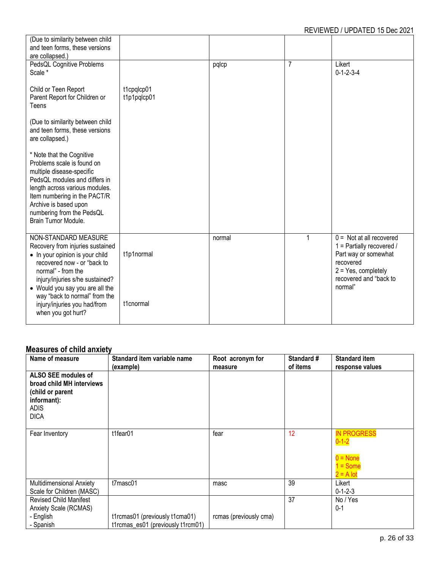| (Due to similarity between child<br>and teen forms, these versions<br>are collapsed.)                                                                                                                                                                                |                           |        |                |                                                                                                                                                             |
|----------------------------------------------------------------------------------------------------------------------------------------------------------------------------------------------------------------------------------------------------------------------|---------------------------|--------|----------------|-------------------------------------------------------------------------------------------------------------------------------------------------------------|
| PedsQL Cognitive Problems<br>Scale *                                                                                                                                                                                                                                 |                           | pqlcp  | $\overline{7}$ | Likert<br>$0 - 1 - 2 - 3 - 4$                                                                                                                               |
| Child or Teen Report<br>Parent Report for Children or<br>Teens                                                                                                                                                                                                       | t1cpqlcp01<br>t1p1pqlcp01 |        |                |                                                                                                                                                             |
| (Due to similarity between child<br>and teen forms, these versions<br>are collapsed.)                                                                                                                                                                                |                           |        |                |                                                                                                                                                             |
| * Note that the Cognitive<br>Problems scale is found on<br>multiple disease-specific<br>PedsQL modules and differs in<br>length across various modules.<br>Item numbering in the PACT/R<br>Archive is based upon<br>numbering from the PedsQL<br>Brain Tumor Module. |                           |        |                |                                                                                                                                                             |
| NON-STANDARD MEASURE<br>Recovery from injuries sustained<br>• In your opinion is your child<br>recovered now - or "back to<br>normal" - from the<br>injury/injuries s/he sustained?<br>• Would you say you are all the<br>way "back to normal" from the              | t1p1normal                | normal | 1              | $0 =$ Not at all recovered<br>1 = Partially recovered /<br>Part way or somewhat<br>recovered<br>$2 = Yes$ , completely<br>recovered and "back to<br>normal" |
| injury/injuries you had/from<br>when you got hurt?                                                                                                                                                                                                                   | t1cnormal                 |        |                |                                                                                                                                                             |

# <span id="page-25-0"></span>**Measures of child anxiety**

| Name of measure                                                                                                   | Standard item variable name<br>(example)                            | Root acronym for<br>measure | Standard #<br>of items | <b>Standard item</b><br>response values                                             |
|-------------------------------------------------------------------------------------------------------------------|---------------------------------------------------------------------|-----------------------------|------------------------|-------------------------------------------------------------------------------------|
| ALSO SEE modules of<br>broad child MH interviews<br>(child or parent<br>informant):<br><b>ADIS</b><br><b>DICA</b> |                                                                     |                             |                        |                                                                                     |
| Fear Inventory                                                                                                    | t1fear01                                                            | fear                        | 12                     | <b>IN PROGRESS</b><br>$0 - 1 - 2$<br>$0 = \text{None}$<br>$1 =$ Some<br>$2 = A$ lot |
| Multidimensional Anxiety<br>Scale for Children (MASC)                                                             | t7masc01                                                            | masc                        | 39                     | Likert<br>$0 - 1 - 2 - 3$                                                           |
| <b>Revised Child Manifest</b><br>Anxiety Scale (RCMAS)<br>- English<br>- Spanish                                  | t1rcmas01 (previously t1cma01)<br>t1rcmas es01 (previously t1rcm01) | rcmas (previously cma)      | 37                     | No / Yes<br>$0 - 1$                                                                 |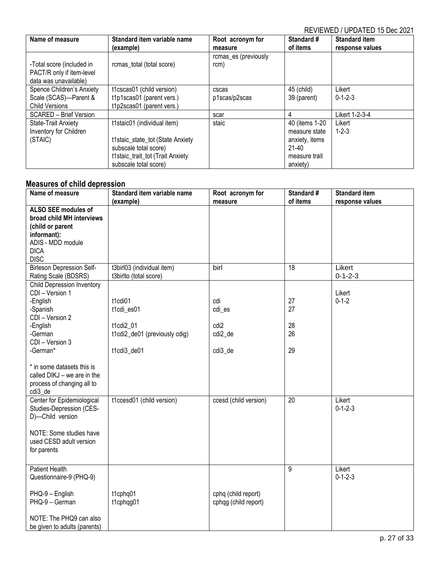| Name of measure                                                                 | Standard item variable name<br>(example)                                                                                                              | Root acronym for<br>measure  | Standard #<br>of items                                                                     | <b>Standard item</b><br>response values |
|---------------------------------------------------------------------------------|-------------------------------------------------------------------------------------------------------------------------------------------------------|------------------------------|--------------------------------------------------------------------------------------------|-----------------------------------------|
| -Total score (included in<br>PACT/R only if item-level<br>data was unavailable) | rcmas_total (total score)                                                                                                                             | rcmas_es (previously<br>rcm) |                                                                                            |                                         |
| Spence Children's Anxiety<br>Scale (SCAS)-Parent &<br><b>Child Versions</b>     | t1cscas01 (child version)<br>t1p1scas01 (parent vers.)<br>t1p2scas01 (parent vers.)                                                                   | cscas<br>p1scas/p2scas       | 45 (child)<br>39 (parent)                                                                  | Likert<br>$0 - 1 - 2 - 3$               |
| <b>SCARED - Brief Version</b>                                                   |                                                                                                                                                       | scar                         | 4                                                                                          | Likert 1-2-3-4                          |
| State-Trait Anxiety<br>Inventory for Children<br>(STAIC)                        | t1staic01 (individual item)<br>t1staic_state_tot (State Anxiety<br>subscale total score)<br>t1staic_trait_tot (Trait Anxiety<br>subscale total score) | staic                        | 40 (items 1-20)<br>measure state<br>anxiety, items<br>$21-40$<br>measure trait<br>anxiety) | Likert<br>$1 - 2 - 3$                   |

#### <span id="page-26-0"></span>**Measures of child depression**

| measares or onna aepres<br>Name of measure                                                                                                                                                                                                           | Standard item variable name                                                        | Root acronym for                                        | Standard #                 | <b>Standard item</b>      |
|------------------------------------------------------------------------------------------------------------------------------------------------------------------------------------------------------------------------------------------------------|------------------------------------------------------------------------------------|---------------------------------------------------------|----------------------------|---------------------------|
|                                                                                                                                                                                                                                                      | (example)                                                                          | measure                                                 | of items                   | response values           |
| ALSO SEE modules of<br>broad child MH interviews<br>(child or parent<br>informant):<br>ADIS - MDD module<br><b>DICA</b>                                                                                                                              |                                                                                    |                                                         |                            |                           |
| <b>DISC</b><br><b>Birleson Depression Self-</b><br>Rating Scale (BDSRS)                                                                                                                                                                              | t3birl03 (individual item)<br>t3birlto (total score)                               | birl                                                    | $\overline{18}$            | Likert<br>$0 - 1 - 2 - 3$ |
| Child Depression Inventory<br>CDI - Version 1<br>-English<br>-Spanish<br>CDI - Version 2<br>-English<br>-German<br>CDI - Version 3<br>-German*<br>* in some datasets this is<br>called DIKJ - we are in the<br>process of changing all to<br>cdi3_de | t1cdi01<br>t1cdi_es01<br>t1cdi2 01<br>t1cdi2_de01 (previously cdig)<br>t1cdi3_de01 | cdi<br>cdi_es<br>cdi <sub>2</sub><br>cdi2 de<br>cdi3 de | 27<br>27<br>28<br>26<br>29 | Likert<br>$0 - 1 - 2$     |
| Center for Epidemiological<br>Studies-Depression (CES-<br>D)-Child version<br>NOTE: Some studies have<br>used CESD adult version<br>for parents                                                                                                      | t1ccesd01 (child version)                                                          | ccesd (child version)                                   | 20                         | Likert<br>$0 - 1 - 2 - 3$ |
| <b>Patient Health</b><br>Questionnaire-9 (PHQ-9)<br>PHQ-9 - English<br>PHQ-9 - German<br>NOTE: The PHQ9 can also<br>be given to adults (parents)                                                                                                     | t1cphq01<br>t1cphqg01                                                              | cphq (child report)<br>cphqg (child report)             | 9                          | Likert<br>$0 - 1 - 2 - 3$ |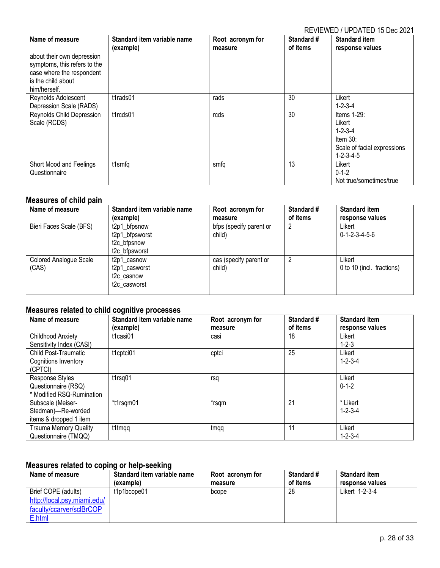| Name of measure                                                                                                               | Standard item variable name<br>(example) | Root acronym for<br>measure | Standard #<br>of items | <b>Standard item</b><br>response values                                                                       |
|-------------------------------------------------------------------------------------------------------------------------------|------------------------------------------|-----------------------------|------------------------|---------------------------------------------------------------------------------------------------------------|
| about their own depression<br>symptoms, this refers to the<br>case where the respondent<br>is the child about<br>him/herself. |                                          |                             |                        |                                                                                                               |
| Reynolds Adolescent<br>Depression Scale (RADS)                                                                                | t1rads01                                 | rads                        | 30                     | Likert<br>$1 - 2 - 3 - 4$                                                                                     |
| Reynolds Child Depression<br>Scale (RCDS)                                                                                     | t1rcds01                                 | rcds                        | 30                     | Items 1-29:<br>Likert<br>$1 - 2 - 3 - 4$<br>Item $30$ :<br>Scale of facial expressions<br>$1 - 2 - 3 - 4 - 5$ |
| Short Mood and Feelings<br>Questionnaire                                                                                      | t1smfq                                   | smfq                        | 13                     | Likert<br>$0 - 1 - 2$<br>Not true/sometimes/true                                                              |

#### <span id="page-27-0"></span>**Measures of child pain**

| Name of measure                 | Standard item variable name                                                                       | Root acronym for                  | Standard # | <b>Standard item</b>                  |
|---------------------------------|---------------------------------------------------------------------------------------------------|-----------------------------------|------------|---------------------------------------|
|                                 | (example)                                                                                         | measure                           | of items   | response values                       |
| Bieri Faces Scale (BFS)         | t2p1 bfpsnow<br>t2p1_bfpsworst<br>t <sub>2c</sub> bfpsnow<br>t <sub>2c</sub> bfpsworst            | bfps (specify parent or<br>child) | 2          | Likert<br>$0 - 1 - 2 - 3 - 4 - 5 - 6$ |
| Colored Analogue Scale<br>(CAS) | t <sub>2</sub> p1 casnow<br>t2p1_casworst<br>t <sub>2</sub> c casnow<br>t <sub>2</sub> c casworst | cas (specify parent or<br>child)  | 2          | Likert<br>0 to 10 (incl. fractions)   |

# <span id="page-27-1"></span>**Measures related to child cognitive processes**

| Name of measure              | Standard item variable name | Root acronym for | Standard # | <b>Standard item</b> |
|------------------------------|-----------------------------|------------------|------------|----------------------|
|                              | (example)                   | measure          | of items   | response values      |
| <b>Childhood Anxiety</b>     | t1casi01                    | casi             | 18         | Likert               |
| Sensitivity Index (CASI)     |                             |                  |            | $1 - 2 - 3$          |
| Child Post-Traumatic         | t1cptci01                   | cptci            | 25         | Likert               |
| Cognitions Inventory         |                             |                  |            | $1 - 2 - 3 - 4$      |
| (CPTCI)                      |                             |                  |            |                      |
| Response Styles              | t1rsq01                     | rsq              |            | Likert               |
| Questionnaire (RSQ)          |                             |                  |            | $0 - 1 - 2$          |
| * Modified RSQ-Rumination    |                             |                  |            |                      |
| Subscale (Meiser-            | *t1rsqm01                   | *rsqm            | 21         | * Likert             |
| Stedman)-Re-worded           |                             |                  |            | $1 - 2 - 3 - 4$      |
| items & dropped 1 item       |                             |                  |            |                      |
| <b>Trauma Memory Quality</b> | t1tmqq                      | tmqq             | 11         | Likert               |
| Questionnaire (TMQQ)         |                             |                  |            | $1 - 2 - 3 - 4$      |

# <span id="page-27-2"></span>**Measures related to coping or help-seeking**

| Name of measure             | Standard item variable name | Root acronym for | <b>Standard #</b> | <b>Standard item</b> |
|-----------------------------|-----------------------------|------------------|-------------------|----------------------|
|                             | (example)                   | measure          | of items          | response values      |
| Brief COPE (adults)         | t1p1bcope01                 | bcope            | 28                | Likert 1-2-3-4       |
| http://local.psy.miami.edu/ |                             |                  |                   |                      |
| faculty/ccarver/sclBrCOP    |                             |                  |                   |                      |
| E.html                      |                             |                  |                   |                      |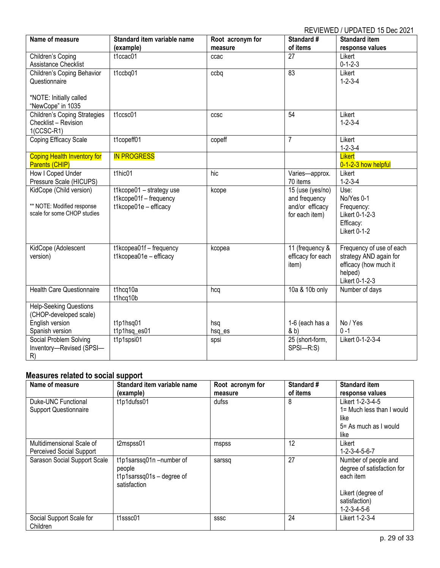| Name of measure                       | Standard item variable name                       | Root acronym for | Standard #        | <b>Standard item</b>     |
|---------------------------------------|---------------------------------------------------|------------------|-------------------|--------------------------|
|                                       | (example)                                         | measure          | of items          | response values          |
| Children's Coping                     | t1ccac01                                          | ccac             | 27                | Likert                   |
| Assistance Checklist                  |                                                   |                  |                   | $0 - 1 - 2 - 3$          |
| Children's Coping Behavior            | t1ccbq01                                          | ccbq             | 83                | Likert                   |
| Questionnaire                         |                                                   |                  |                   | $1 - 2 - 3 - 4$          |
|                                       |                                                   |                  |                   |                          |
| *NOTE: Initially called               |                                                   |                  |                   |                          |
| "NewCope" in 1035                     |                                                   |                  |                   |                          |
| <b>Children's Coping Strategies</b>   | t1ccsc01                                          | <b>CCSC</b>      | $\overline{54}$   | Likert                   |
| Checklist - Revision                  |                                                   |                  |                   | $1 - 2 - 3 - 4$          |
| $1(CCSC-R1)$<br>Coping Efficacy Scale | t1copeff01                                        | copeff           | $\overline{7}$    | Likert                   |
|                                       |                                                   |                  |                   | $1 - 2 - 3 - 4$          |
| Coping Health Inventory for           | <b>IN PROGRESS</b>                                |                  |                   | Likert                   |
| Parents (CHIP)                        |                                                   |                  |                   | 0-1-2-3 how helpful      |
| How I Coped Under                     | t1hic01                                           | hic              | Varies-approx.    | Likert                   |
| Pressure Scale (HICUPS)               |                                                   |                  | 70 items          | $1 - 2 - 3 - 4$          |
| KidCope (Child version)               | t1kcope01 - strategy use                          | kcope            | 15 (use (yes/no)  | Use:                     |
|                                       | t1kcope01f - frequency                            |                  | and frequency     | No/Yes 0-1               |
| ** NOTE: Modified response            | t1kcope01e - efficacy                             |                  | and/or efficacy   | Frequency:               |
| scale for some CHOP studies           |                                                   |                  | for each item)    | Likert 0-1-2-3           |
|                                       |                                                   |                  |                   | Efficacy:                |
|                                       |                                                   |                  |                   | <b>Likert 0-1-2</b>      |
|                                       |                                                   |                  | 11 (frequency &   | Frequency of use of each |
| KidCope (Adolescent<br>version)       | t1kcopea01f - frequency<br>t1kcopea01e - efficacy | kcopea           | efficacy for each | strategy AND again for   |
|                                       |                                                   |                  | item)             | efficacy (how much it    |
|                                       |                                                   |                  |                   | helped)                  |
|                                       |                                                   |                  |                   | Likert 0-1-2-3           |
| <b>Health Care Questionnaire</b>      | t1hcq10a                                          | hcq              | 10a & 10b only    | Number of days           |
|                                       | t1hcq10b                                          |                  |                   |                          |
| <b>Help-Seeking Questions</b>         |                                                   |                  |                   |                          |
| (CHOP-developed scale)                |                                                   |                  |                   |                          |
| English version                       | t1p1hsq01                                         | hsq              | 1-6 (each has a   | No / Yes                 |
| Spanish version                       | t1p1hsq_es01                                      | hsq_es           | & b)              | $0 - 1$                  |
| Social Problem Solving                | t1p1spsi01                                        | spsi             | 25 (short-form,   | Likert 0-1-2-3-4         |
| Inventory-Revised (SPSI-              |                                                   |                  | SPSI-R:S)         |                          |
| R)                                    |                                                   |                  |                   |                          |

# <span id="page-28-0"></span>**Measures related to social support**

| Name of measure                      | Standard item variable name                                                      | Root acronym for | Standard # | <b>Standard item</b>                                            |
|--------------------------------------|----------------------------------------------------------------------------------|------------------|------------|-----------------------------------------------------------------|
|                                      | (example)                                                                        | measure          | of items   | response values                                                 |
| Duke-UNC Functional                  | t1p1dufss01                                                                      | dufss            | 8          | Likert 1-2-3-4-5                                                |
| <b>Support Questionnaire</b>         |                                                                                  |                  |            | 1= Much less than I would                                       |
|                                      |                                                                                  |                  |            | like                                                            |
|                                      |                                                                                  |                  |            | 5= As much as I would                                           |
|                                      |                                                                                  |                  |            | like                                                            |
| Multidimensional Scale of            | t2mspss01                                                                        | mspss            | 12         | Likert                                                          |
| <b>Perceived Social Support</b>      |                                                                                  |                  |            | $1 - 2 - 3 - 4 - 5 - 6 - 7$                                     |
| Sarason Social Support Scale         | t1p1sarssq01n-number of<br>people<br>$t1p1sarssq01s - degree of$<br>satisfaction | sarssg           | 27         | Number of people and<br>degree of satisfaction for<br>each item |
|                                      |                                                                                  |                  |            | Likert (degree of                                               |
|                                      |                                                                                  |                  |            | satisfaction)                                                   |
|                                      |                                                                                  |                  |            | $1 - 2 - 3 - 4 - 5 - 6$                                         |
| Social Support Scale for<br>Children | t1sssc01                                                                         | SSSC             | 24         | Likert 1-2-3-4                                                  |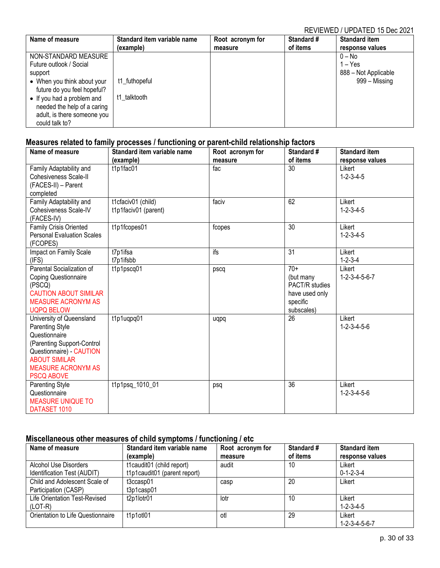| Name of measure             | Standard item variable name | Root acronym for | <b>Standard #</b> | <b>Standard item</b> |
|-----------------------------|-----------------------------|------------------|-------------------|----------------------|
|                             | (example)                   | measure          | of items          | response values      |
| NON-STANDARD MEASURE        |                             |                  |                   | 0 – No               |
| Future outlook / Social     |                             |                  |                   | $1 - Yes$            |
| support                     |                             |                  |                   | 888 - Not Applicable |
| • When you think about your | t1_futhopeful               |                  |                   | 999 – Missing        |
| future do you feel hopeful? |                             |                  |                   |                      |
| • If you had a problem and  | t1 talktooth                |                  |                   |                      |
| needed the help of a caring |                             |                  |                   |                      |
| adult, is there someone you |                             |                  |                   |                      |
| could talk to?              |                             |                  |                   |                      |

# <span id="page-29-0"></span>**Measures related to family processes / functioning or parent-child relationship factors**

| Name of measure                                                                                                                                                                                         | Standard item variable name<br>(example)   | Root acronym for<br>measure | Standard #<br>of items                                                           | <b>Standard item</b><br>response values |
|---------------------------------------------------------------------------------------------------------------------------------------------------------------------------------------------------------|--------------------------------------------|-----------------------------|----------------------------------------------------------------------------------|-----------------------------------------|
| Family Adaptability and<br>Cohesiveness Scale-II<br>(FACES-II) - Parent                                                                                                                                 | t1p1fac01                                  | fac                         | 30                                                                               | Likert<br>$1 - 2 - 3 - 4 - 5$           |
| completed<br>Family Adaptability and<br><b>Cohesiveness Scale-IV</b><br>(FACES-IV)                                                                                                                      | t1cfaciv01 (child)<br>t1p1faciv01 (parent) | faciv                       | 62                                                                               | Likert<br>$1 - 2 - 3 - 4 - 5$           |
| <b>Family Crisis Oriented</b><br><b>Personal Evaluation Scales</b><br>(FCOPES)                                                                                                                          | t1p1fcopes01                               | fcopes                      | 30                                                                               | Likert<br>$1 - 2 - 3 - 4 - 5$           |
| Impact on Family Scale<br>(IFS)                                                                                                                                                                         | t7p1ifsa<br>t7p1ifsbb                      | ifs                         | $\overline{31}$                                                                  | Likert<br>$1 - 2 - 3 - 4$               |
| Parental Socialization of<br><b>Coping Questionnaire</b><br>(PSCQ)<br><b>CAUTION ABOUT SIMILAR</b><br><b>MEASURE ACRONYM AS</b><br><b>UQPQ BELOW</b>                                                    | t1p1pscq01                                 | pscq                        | $70+$<br>(but many<br>PACT/R studies<br>have used only<br>specific<br>subscales) | Likert<br>$1 - 2 - 3 - 4 - 5 - 6 - 7$   |
| University of Queensland<br><b>Parenting Style</b><br>Questionnaire<br>(Parenting Support-Control<br>Questionnaire) - CAUTION<br><b>ABOUT SIMILAR</b><br><b>MEASURE ACRONYM AS</b><br><b>PSCQ ABOVE</b> | t1p1uqpq01                                 | uqpq                        | 26                                                                               | Likert<br>$1 - 2 - 3 - 4 - 5 - 6$       |
| Parenting Style<br>Questionnaire<br><b>MEASURE UNIQUE TO</b><br>DATASET 1010                                                                                                                            | t1p1psq 1010 01                            | psq                         | 36                                                                               | Likert<br>$1 - 2 - 3 - 4 - 5 - 6$       |

## <span id="page-29-1"></span>**Miscellaneous other measures of child symptoms / functioning / etc**

| Name of measure                   | Standard item variable name  | Root acronym for | Standard # | <b>Standard item</b>        |
|-----------------------------------|------------------------------|------------------|------------|-----------------------------|
|                                   | (example)                    | measure          | of items   | response values             |
| Alcohol Use Disorders             | t1caudit01 (child report)    | audit            | 10         | Likert                      |
| Identification Test (AUDIT)       | t1p1caudit01 (parent report) |                  |            | $0 - 1 - 2 - 3 - 4$         |
| Child and Adolescent Scale of     | t3ccasp01                    | casp             | 20         | Likert                      |
| Participation (CASP)              | t3p1casp01                   |                  |            |                             |
| Life Orientation Test-Revised     | t2p1lotr01                   | lotr             | 10         | Likert                      |
| $(LOT-R)$                         |                              |                  |            | $1 - 2 - 3 - 4 - 5$         |
| Orientation to Life Questionnaire | t1p1otl01                    | otl              | 29         | Likert                      |
|                                   |                              |                  |            | $1 - 2 - 3 - 4 - 5 - 6 - 7$ |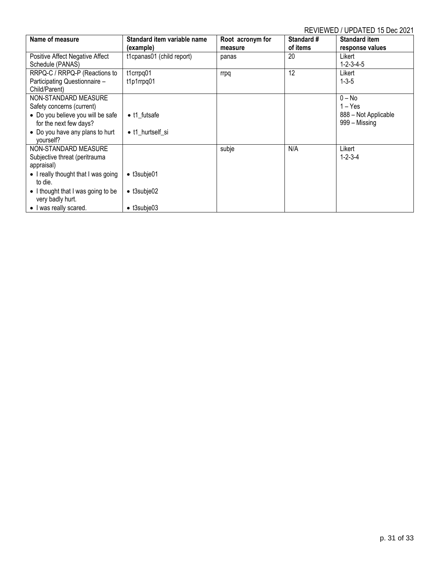| Name of measure                     | Standard item variable name | Root acronym for | <b>Standard #</b> | <b>Standard item</b> |
|-------------------------------------|-----------------------------|------------------|-------------------|----------------------|
|                                     | (example)                   | measure          | of items          | response values      |
| Positive Affect Negative Affect     | t1cpanas01 (child report)   | panas            | 20                | Likert               |
| Schedule (PANAS)                    |                             |                  |                   | $1 - 2 - 3 - 4 - 5$  |
| RRPQ-C / RRPQ-P (Reactions to       | t1crrpg01                   | rrpq             | 12                | Likert               |
| Participating Questionnaire -       | t1p1rrpq01                  |                  |                   | $1 - 3 - 5$          |
| Child/Parent)                       |                             |                  |                   |                      |
| NON-STANDARD MEASURE                |                             |                  |                   | $0 - No$             |
| Safety concerns (current)           |                             |                  |                   | $1 - Yes$            |
| • Do you believe you will be safe   | • t1 futsafe                |                  |                   | 888 - Not Applicable |
| for the next few days?              |                             |                  |                   | 999 – Missing        |
| • Do you have any plans to hurt     | • t1 hurtself si            |                  |                   |                      |
| vourself?                           |                             |                  |                   |                      |
| NON-STANDARD MEASURE                |                             | subje            | N/A               | Likert               |
| Subjective threat (peritrauma       |                             |                  |                   | $1 - 2 - 3 - 4$      |
| appraisal)                          |                             |                  |                   |                      |
| • I really thought that I was going | $\bullet$ t3subje01         |                  |                   |                      |
| to die.                             |                             |                  |                   |                      |
| • I thought that I was going to be  | $\bullet$ t3subje02         |                  |                   |                      |
| very badly hurt.                    |                             |                  |                   |                      |
| • I was really scared.              | $\bullet$ t3subje03         |                  |                   |                      |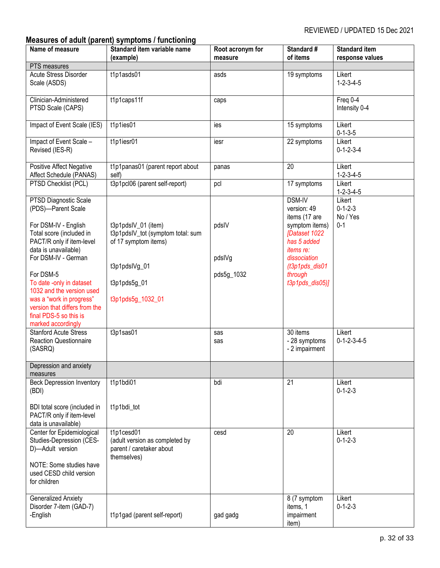# <span id="page-31-0"></span>**Measures of adult (parent) symptoms / functioning**

| Name of measure                                                                                                                                                                                                                                                                                                                                                       | Standard item variable name<br>(example)                                                                                               | Root acronym for<br>measure   | Standard #<br>of items                                                                                                                                                                         | <b>Standard item</b><br>response values          |
|-----------------------------------------------------------------------------------------------------------------------------------------------------------------------------------------------------------------------------------------------------------------------------------------------------------------------------------------------------------------------|----------------------------------------------------------------------------------------------------------------------------------------|-------------------------------|------------------------------------------------------------------------------------------------------------------------------------------------------------------------------------------------|--------------------------------------------------|
| PTS measures                                                                                                                                                                                                                                                                                                                                                          |                                                                                                                                        |                               |                                                                                                                                                                                                |                                                  |
| Acute Stress Disorder<br>Scale (ASDS)                                                                                                                                                                                                                                                                                                                                 | t1p1asds01                                                                                                                             | asds                          | 19 symptoms                                                                                                                                                                                    | Likert<br>$1 - 2 - 3 - 4 - 5$                    |
| Clinician-Administered<br>PTSD Scale (CAPS)                                                                                                                                                                                                                                                                                                                           | t1p1caps11f                                                                                                                            | caps                          |                                                                                                                                                                                                | Freq 0-4<br>Intensity 0-4                        |
| Impact of Event Scale (IES)                                                                                                                                                                                                                                                                                                                                           | t1p1ies01                                                                                                                              | ies                           | 15 symptoms                                                                                                                                                                                    | Likert<br>$0 - 1 - 3 - 5$                        |
| Impact of Event Scale -<br>Revised (IES-R)                                                                                                                                                                                                                                                                                                                            | t1p1iesr01                                                                                                                             | iesr                          | 22 symptoms                                                                                                                                                                                    | Likert<br>$0 - 1 - 2 - 3 - 4$                    |
| Positive Affect Negative<br>Affect Schedule (PANAS)                                                                                                                                                                                                                                                                                                                   | t1p1panas01 (parent report about<br>self)                                                                                              | panas                         | $\overline{20}$                                                                                                                                                                                | Likert<br>$1 - 2 - 3 - 4 - 5$                    |
| PTSD Checklist (PCL)                                                                                                                                                                                                                                                                                                                                                  | t3p1pcl06 (parent self-report)                                                                                                         | pcl                           | 17 symptoms                                                                                                                                                                                    | Likert<br>$1 - 2 - 3 - 4 - 5$                    |
| <b>PTSD Diagnostic Scale</b><br>(PDS)-Parent Scale<br>For DSM-IV - English<br>Total score (included in<br>PACT/R only if item-level<br>data is unavailable)<br>For DSM-IV - German<br>For DSM-5<br>To date -only in dataset<br>1032 and the version used<br>was a "work in progress"<br>version that differs from the<br>final PDS-5 so this is<br>marked accordingly | t3p1pdsIV_01 (item)<br>t3p1pdsIV_tot (symptom total: sum<br>of 17 symptom items)<br>t3p1pdslVg_01<br>t3p1pds5g_01<br>t3p1pds5g_1032_01 | pdsIV<br>pdslVg<br>pds5g_1032 | <b>DSM-IV</b><br>version: 49<br>items (17 are<br>symptom items)<br><b>[Dataset 1022</b><br>has 5 added<br><i>items re:</i><br>dissociation<br>$(t3p1pds_dis01$<br>through<br>$t3p1pds_dis05$ ] | Likert<br>$0 - 1 - 2 - 3$<br>No / Yes<br>$0 - 1$ |
| <b>Stanford Acute Stress</b><br><b>Reaction Questionnaire</b><br>(SASRQ)                                                                                                                                                                                                                                                                                              | t3p1sas01                                                                                                                              | sas<br>sas                    | 30 items<br>- 28 symptoms<br>- 2 impairment                                                                                                                                                    | Likert<br>$0 - 1 - 2 - 3 - 4 - 5$                |
| Depression and anxiety<br>measures                                                                                                                                                                                                                                                                                                                                    |                                                                                                                                        |                               |                                                                                                                                                                                                |                                                  |
| <b>Beck Depression Inventory</b><br>(BDI)<br>BDI total score (included in<br>PACT/R only if item-level<br>data is unavailable)                                                                                                                                                                                                                                        | t1p1bdi01<br>t1p1bdi_tot                                                                                                               | bdi                           | 21                                                                                                                                                                                             | Likert<br>$0 - 1 - 2 - 3$                        |
| Center for Epidemiological<br>Studies-Depression (CES-<br>D)-Adult version<br>NOTE: Some studies have<br>used CESD child version<br>for children                                                                                                                                                                                                                      | t1p1cesd01<br>(adult version as completed by<br>parent / caretaker about<br>themselves)                                                | cesd                          | 20                                                                                                                                                                                             | Likert<br>$0 - 1 - 2 - 3$                        |
| <b>Generalized Anxiety</b><br>Disorder 7-item (GAD-7)<br>-English                                                                                                                                                                                                                                                                                                     | t1p1gad (parent self-report)                                                                                                           | gad gadg                      | 8 (7 symptom<br>items, 1<br>impairment<br>item)                                                                                                                                                | Likert<br>$0 - 1 - 2 - 3$                        |